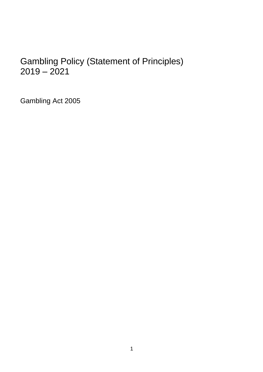# Gambling Policy (Statement of Principles) 2019 – 2021

Gambling Act 2005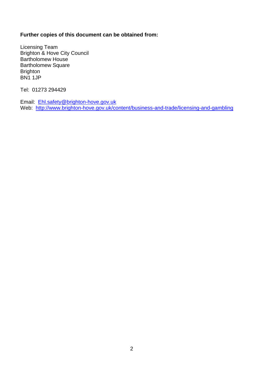## **Further copies of this document can be obtained from:**

Licensing Team Brighton & Hove City Council Bartholomew House Bartholomew Square **Brighton** BN1 1JP

Tel: 01273 294429

Email: [Ehl.safety@brighton-hove.gov.uk](mailto:Ehl.safety@brighton-hove.gov.uk) Web: <http://www.brighton-hove.gov.uk/content/business-and-trade/licensing-and-gambling>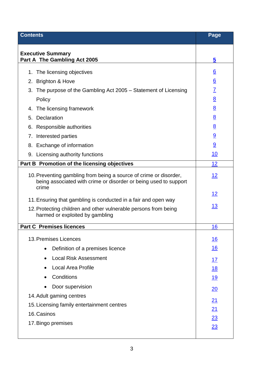<span id="page-2-0"></span>

| <b>Contents</b>                                                                                                                                | Page            |
|------------------------------------------------------------------------------------------------------------------------------------------------|-----------------|
| <b>Executive Summary</b><br>Part A The Gambling Act 2005                                                                                       | 5               |
| The licensing objectives<br>1.                                                                                                                 | <u>6</u>        |
| <b>Brighton &amp; Hove</b><br>2.                                                                                                               | $\underline{6}$ |
| 3.<br>The purpose of the Gambling Act 2005 – Statement of Licensing                                                                            | $\overline{1}$  |
| Policy                                                                                                                                         | $\underline{8}$ |
| The licensing framework<br>4.                                                                                                                  | 8               |
| Declaration<br>5.                                                                                                                              | 8               |
| 6. Responsible authorities                                                                                                                     | 8               |
| Interested parties<br>7.                                                                                                                       | $\overline{9}$  |
| Exchange of information<br>8.                                                                                                                  | 9               |
| 9. Licensing authority functions                                                                                                               | <u> 10</u>      |
| Part B Promotion of the licensing objectives                                                                                                   | 12              |
| 10. Preventing gambling from being a source of crime or disorder,<br>being associated with crime or disorder or being used to support<br>crime | <u> 12</u>      |
|                                                                                                                                                | 12              |
| 11. Ensuring that gambling is conducted in a fair and open way                                                                                 | <u> 13</u>      |
| 12. Protecting children and other vulnerable persons from being<br>harmed or exploited by gambling                                             |                 |
| <b>Part C Premises licences</b>                                                                                                                | 16              |
| 13. Premises Licences                                                                                                                          | <u> 16</u>      |
| Definition of a premises licence                                                                                                               | <u>16</u>       |
| <b>Local Risk Assessment</b>                                                                                                                   | 17              |
| <b>Local Area Profile</b>                                                                                                                      | <u>18</u>       |
| Conditions                                                                                                                                     | <u> 19</u>      |
| Door supervision                                                                                                                               | 20              |
| 14. Adult gaming centres                                                                                                                       |                 |
| 15. Licensing family entertainment centres                                                                                                     | 21              |
| 16. Casinos                                                                                                                                    | 21<br>23        |
| 17. Bingo premises                                                                                                                             | 23              |
|                                                                                                                                                |                 |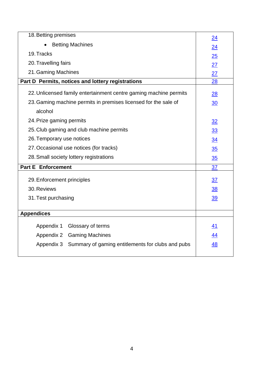| 18. Betting premises                                              | 24        |
|-------------------------------------------------------------------|-----------|
| <b>Betting Machines</b>                                           | 24        |
| 19. Tracks                                                        | 25        |
| 20. Travelling fairs                                              | 27        |
| 21. Gaming Machines                                               | 27        |
| Part D Permits, notices and lottery registrations                 | 28        |
| 22. Unlicensed family entertainment centre gaming machine permits | 28        |
| 23. Gaming machine permits in premises licensed for the sale of   | 30        |
| alcohol                                                           |           |
| 24. Prize gaming permits                                          | 32        |
| 25. Club gaming and club machine permits                          | <u>33</u> |
| 26. Temporary use notices                                         | 34        |
| 27. Occasional use notices (for tracks)                           | 35        |
| 28. Small society lottery registrations                           | 35        |
| <b>Part E Enforcement</b>                                         | 37        |
| 29. Enforcement principles                                        | 37        |
| 30. Reviews                                                       | <u>38</u> |
| 31. Test purchasing                                               | <u>39</u> |
|                                                                   |           |
| <b>Appendices</b>                                                 |           |
| Glossary of terms<br>Appendix 1                                   | <u>41</u> |
| Appendix 2 Gaming Machines                                        | 44        |
| Appendix 3<br>Summary of gaming entitlements for clubs and pubs   | 48        |
|                                                                   |           |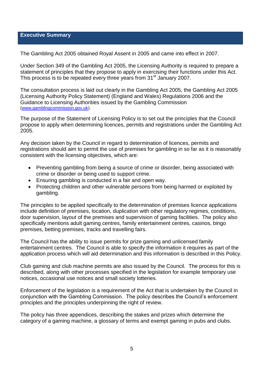#### <span id="page-4-0"></span>**Executive Summary**

The Gambling Act 2005 obtained Royal Assent in 2005 and came into effect in 2007.

Under Section 349 of the Gambling Act 2005, the Licensing Authority is required to prepare a statement of principles that they propose to apply in exercising their functions under this Act. This process is to be repeated every three years from 31<sup>st</sup> January 2007.

The consultation process is laid out clearly in the Gambling Act 2005, the Gambling Act 2005 (Licensing Authority Policy Statement) (England and Wales) Regulations 2006 and the Guidance to Licensing Authorities issued by the Gambling Commission [\(www.gamblingcommission.gov.uk\)](http://www.gamblingcommission.gov.uk/).

The purpose of the Statement of Licensing Policy is to set out the principles that the Council propose to apply when determining licences, permits and registrations under the Gambling Act 2005.

Any decision taken by the Council in regard to determination of licences, permits and registrations should aim to permit the use of premises for gambling in so far as it is reasonably consistent with the licensing objectives, which are:

- Preventing gambling from being a source of crime or disorder, being associated with crime or disorder or being used to support crime.
- Ensuring gambling is conducted in a fair and open way.
- Protecting children and other vulnerable persons from being harmed or exploited by gambling.

The principles to be applied specifically to the determination of premises licence applications include definition of premises, location, duplication with other regulatory regimes, conditions, door supervision, layout of the premises and supervision of gaming facilities. The policy also specifically mentions adult gaming centres, family entertainment centres, casinos, bingo premises, betting premises, tracks and travelling fairs.

The Council has the ability to issue permits for prize gaming and unlicensed family entertainment centres. The Council is able to specify the information it requires as part of the application process which will aid determination and this information is described in this Policy.

Club gaming and club machine permits are also issued by the Council. The process for this is described, along with other processes specified in the legislation for example temporary use notices, occasional use notices and small society lotteries.

Enforcement of the legislation is a requirement of the Act that is undertaken by the Council in conjunction with the Gambling Commission. The policy describes the Council's enforcement principles and the principles underpinning the right of review.

The policy has three appendices, describing the stakes and prizes which determine the category of a gaming machine, a glossary of terms and exempt gaming in pubs and clubs.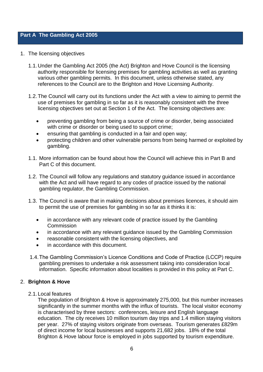## **Part A The Gambling Act 2005**

- 1. The licensing objectives
	- 1.1.Under the Gambling Act 2005 (the Act) Brighton and Hove Council is the licensing authority responsible for licensing premises for gambling activities as well as granting various other gambling permits. In this document, unless otherwise stated, any references to the Council are to the Brighton and Hove Licensing Authority.
	- 1.2.The Council will carry out its functions under the Act with a view to aiming to permit the use of premises for gambling in so far as it is reasonably consistent with the three licensing objectives set out at Section 1 of the Act. The licensing objectives are:
		- preventing gambling from being a source of crime or disorder, being associated with crime or disorder or being used to support crime;
		- ensuring that gambling is conducted in a fair and open way;
		- protecting children and other vulnerable persons from being harmed or exploited by gambling.
	- 1.1. More information can be found about how the Council will achieve this in Part B and Part C of this document.
	- 1.2. The Council will follow any regulations and statutory guidance issued in accordance with the Act and will have regard to any codes of practice issued by the national gambling regulator, the Gambling Commission.
	- 1.3. The Council is aware that in making decisions about premises licences, it should aim to permit the use of premises for gambling in so far as it thinks it is:
		- in accordance with any relevant code of practice issued by the Gambling **Commission**
		- in accordance with any relevant guidance issued by the Gambling Commission
		- reasonable consistent with the licensing objectives, and
		- in accordance with this document.
	- 1.4.The Gambling Commission's Licence Conditions and Code of Practice (LCCP) require gambling premises to undertake a risk assessment taking into consideration local information. Specific information about localities is provided in this policy at Part C.

### <span id="page-5-0"></span>2. **Brighton & Hove**

2.1.Local features

The population of Brighton & Hove is approximately 275,000, but this number increases significantly in the summer months with the influx of tourists. The local visitor economy is characterised by three sectors: conferences, leisure and English language education. The city receives 10 million tourism day trips and 1.4 million staying visitors per year. 27% of staying visitors originate from overseas. Tourism generates £829m of direct income for local businesses and supports 21,682 jobs. 18% of the total Brighton & Hove labour force is employed in jobs supported by tourism expenditure.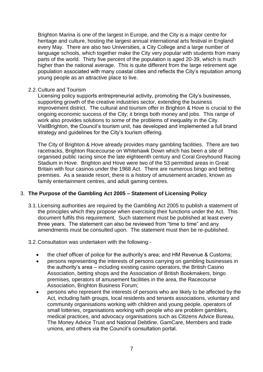Brighton Marina is one of the largest in Europe, and the City is a major centre for heritage and culture, hosting the largest annual international arts festival in England every May. There are also two Universities, a City College and a large number of language schools, which together make the City very popular with students from many parts of the world. Thirty five percent of the population is aged 20-39, which is much higher than the national average. This is quite different from the large retirement age population associated with many coastal cities and reflects the City's reputation among young people as an attractive place to live.

#### 2.2.Culture and Tourism

Licensing policy supports entrepreneurial activity, promoting the City's businesses, supporting growth of the creative industries sector, extending the business improvement district. The cultural and tourism offer in Brighton & Hove is crucial to the ongoing economic success of the City; it brings both money and jobs. This range of work also provides solutions to some of the problems of inequality in the City. VisitBrighton, the Council's tourism unit, has developed and implemented a full brand strategy and guidelines for the City's tourism offering.

The City of Brighton & Hove already provides many gambling facilities. There are two racetracks, Brighton Racecourse on Whitehawk Down which has been a site of organised public racing since the late eighteenth century and Coral Greyhound Racing Stadium in Hove. Brighton and Hove were two of the 53 permitted areas in Great Britain with four casinos under the 1968 Act. There are numerous bingo and betting premises. As a seaside resort, there is a history of amusement arcades, known as family entertainment centres, and adult gaming centres.

### <span id="page-6-0"></span>3. **The Purpose of the Gambling Act 2005 – Statement of Licensing Policy**

- 3.1.Licensing authorities are required by the Gambling Act 2005 to publish a statement of the principles which they propose when exercising their functions under the Act. This document fulfils this requirement. Such statement must be published at least every three years. The statement can also be reviewed from "time to time" and any amendments must be consulted upon. The statement must then be re-published.
- 3.2.Consultation was undertaken with the following:
	- the chief officer of police for the authority's area; and HM Revenue & Customs;
	- persons representing the interests of persons carrying on gambling businesses in the authority's area – including existing casino operators, the British Casino Association, betting shops and the Association of British Bookmakers, bingo premises, operators of amusement facilities in the area, the Racecourse Association, Brighton Business Forum;
	- persons who represent the interests of persons who are likely to be affected by the Act, including faith groups, local residents and tenants associations, voluntary and community organisations working with children and young people, operators of small lotteries, organisations working with people who are problem gamblers, medical practices, and advocacy organisations such as Citizens Advice Bureau, The Money Advice Trust and National Debtline, GamCare, Members and trade unions, and others via the Council's consultation portal.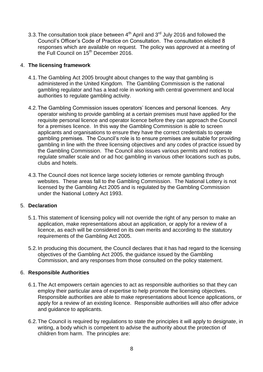3.3. The consultation took place between  $4<sup>th</sup>$  April and  $3<sup>rd</sup>$  July 2016 and followed the Council's Officer's Code of Practice on Consultation. The consultation elicited 8 responses which are available on request. The policy was approved at a meeting of the Full Council on 15<sup>th</sup> December 2016.

## <span id="page-7-0"></span>4. **The licensing framework**

- 4.1.The Gambling Act 2005 brought about changes to the way that gambling is administered in the United Kingdom. The Gambling Commission is the national gambling regulator and has a lead role in working with central government and local authorities to regulate gambling activity.
- 4.2.The Gambling Commission issues operators' licences and personal licences. Any operator wishing to provide gambling at a certain premises must have applied for the requisite personal licence and operator licence before they can approach the Council for a premises licence. In this way the Gambling Commission is able to screen applicants and organisations to ensure they have the correct credentials to operate gambling premises. The Council's role is to ensure premises are suitable for providing gambling in line with the three licensing objectives and any codes of practice issued by the Gambling Commission. The Council also issues various permits and notices to regulate smaller scale and or ad hoc gambling in various other locations such as pubs, clubs and hotels.
- 4.3.The Council does not licence large society lotteries or remote gambling through websites. These areas fall to the Gambling Commission. The National Lottery is not licensed by the Gambling Act 2005 and is regulated by the Gambling Commission under the National Lottery Act 1993.

### <span id="page-7-1"></span>5. **Declaration**

- 5.1.This statement of licensing policy will not override the right of any person to make an application, make representations about an application, or apply for a review of a licence, as each will be considered on its own merits and according to the statutory requirements of the Gambling Act 2005.
- 5.2.In producing this document, the Council declares that it has had regard to the licensing objectives of the Gambling Act 2005, the guidance issued by the Gambling Commission, and any responses from those consulted on the policy statement.

### <span id="page-7-2"></span>6. **Responsible Authorities**

- 6.1.The Act empowers certain agencies to act as responsible authorities so that they can employ their particular area of expertise to help promote the licensing objectives. Responsible authorities are able to make representations about licence applications, or apply for a review of an existing licence. Responsible authorities will also offer advice and guidance to applicants.
- 6.2.The Council is required by regulations to state the principles it will apply to designate, in writing, a body which is competent to advise the authority about the protection of children from harm. The principles are: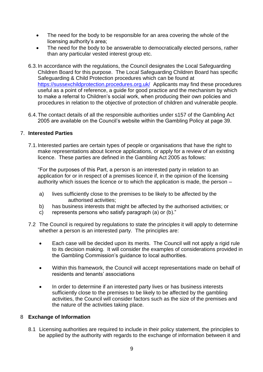- The need for the body to be responsible for an area covering the whole of the licensing authority's area;
- The need for the body to be answerable to democratically elected persons, rather than any particular vested interest group etc.
- 6.3.In accordance with the regulations, the Council designates the Local Safeguarding Children Board for this purpose. The Local Safeguarding Children Board has specific Safeguarding & Child Protection procedures which can be found at <https://sussexchildprotection.procedures.org.uk/>Applicants may find these procedures useful as a point of reference, a guide for good practice and the mechanism by which to make a referral to Children's social work, when producing their own policies and procedures in relation to the objective of protection of children and vulnerable people.
- 6.4.The contact details of all the responsible authorities under s157 of the Gambling Act 2005 are available on the Council's website within the Gambling Policy at page 39.

## <span id="page-8-0"></span>7. **Interested Parties**

7.1.Interested parties are certain types of people or organisations that have the right to make representations about licence applications, or apply for a review of an existing licence. These parties are defined in the Gambling Act 2005 as follows:

"For the purposes of this Part, a person is an interested party in relation to an application for or in respect of a premises licence if, in the opinion of the licensing authority which issues the licence or to which the application is made, the person –

- a) lives sufficiently close to the premises to be likely to be affected by the authorised activities;
- b) has business interests that might be affected by the authorised activities; or
- c) represents persons who satisfy paragraph (a) or (b)."
- 7.2 The Council is required by regulations to state the principles it will apply to determine whether a person is an interested party. The principles are:
	- Each case will be decided upon its merits. The Council will not apply a rigid rule to its decision making. It will consider the examples of considerations provided in the Gambling Commission's guidance to local authorities.
	- Within this framework, the Council will accept representations made on behalf of residents and tenants' associations
	- In order to determine if an interested party lives or has business interests sufficiently close to the premises to be likely to be affected by the gambling activities, the Council will consider factors such as the size of the premises and the nature of the activities taking place.

### <span id="page-8-1"></span>8 **Exchange of Information**

8.1 Licensing authorities are required to include in their policy statement, the principles to be applied by the authority with regards to the exchange of information between it and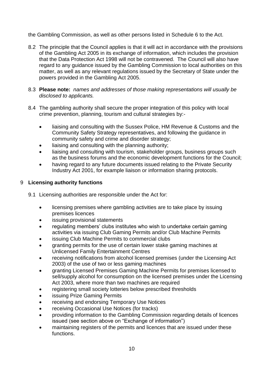the Gambling Commission, as well as other persons listed in Schedule 6 to the Act.

- 8.2 The principle that the Council applies is that it will act in accordance with the provisions of the Gambling Act 2005 in its exchange of information, which includes the provision that the Data Protection Act 1998 will not be contravened. The Council will also have regard to any guidance issued by the Gambling Commission to local authorities on this matter, as well as any relevant regulations issued by the Secretary of State under the powers provided in the Gambling Act 2005.
- 8.3 **Please note:** *names and addresses of those making representations will usually be disclosed to applicants.*
- 8.4 The gambling authority shall secure the proper integration of this policy with local crime prevention, planning, tourism and cultural strategies by:-
	- liaising and consulting with the Sussex Police, HM Revenue & Customs and the Community Safety Strategy representatives, and following the guidance in community safety and crime and disorder strategy;
	- liaising and consulting with the planning authority;
	- liaising and consulting with tourism, stakeholder groups, business groups such as the business forums and the economic development functions for the Council;
	- having regard to any future documents issued relating to the Private Security Industry Act 2001, for example liaison or information sharing protocols.

## <span id="page-9-0"></span>9 **Licensing authority functions**

- 9.1 Licensing authorities are responsible under the Act for:
	- licensing premises where gambling activities are to take place by issuing premises licences
	- issuing provisional statements
	- regulating members' clubs institutes who wish to undertake certain gaming activities via issuing Club Gaming Permits and/or Club Machine Permits
	- issuing Club Machine Permits to commercial clubs
	- granting permits for the use of certain lower stake gaming machines at Unlicensed Family Entertainment Centres
	- receiving notifications from alcohol licensed premises (under the Licensing Act 2003) of the use of two or less gaming machines
	- granting Licensed Premises Gaming Machine Permits for premises licensed to sell/supply alcohol for consumption on the licensed premises under the Licensing Act 2003, where more than two machines are required
	- registering small society lotteries below prescribed thresholds
	- issuing Prize Gaming Permits
	- receiving and endorsing Temporary Use Notices
	- receiving Occasional Use Notices (for tracks)
	- providing information to the Gambling Commission regarding details of licences issued (see section above on "Exchange of information")
	- maintaining registers of the permits and licences that are issued under these functions.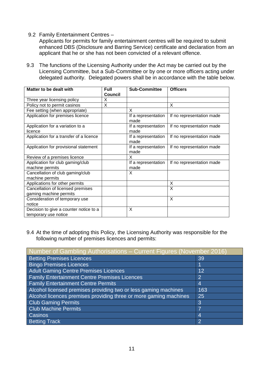9.2 Family Entertainment Centres –

Applicants for permits for family entertainment centres will be required to submit enhanced DBS (Disclosure and Barring Service) certificate and declaration from an applicant that he or she has not been convicted of a relevant offence.

9.3 The functions of the Licensing Authority under the Act may be carried out by the Licensing Committee, but a Sub-Committee or by one or more officers acting under delegated authority. Delegated powers shall be in accordance with the table below.

| Matter to be dealt with                                        | <b>Full</b><br><b>Council</b> | <b>Sub-Committee</b>        | <b>Officers</b>           |
|----------------------------------------------------------------|-------------------------------|-----------------------------|---------------------------|
| Three year licensing policy                                    | X                             |                             |                           |
| Policy not to permit casinos                                   | Χ                             |                             | X                         |
| Fee setting (when appropriate)                                 |                               | X                           |                           |
| Application for premises licence                               |                               | If a representation<br>made | If no representation made |
| Application for a variation to a<br>licence                    |                               | If a representation<br>made | If no representation made |
| Application for a transfer of a licence                        |                               | If a representation<br>made | If no representation made |
| Application for provisional statement                          |                               | If a representation<br>made | If no representation made |
| Review of a premises licence                                   |                               | X                           |                           |
| Application for club gaming/club<br>machine permits            |                               | If a representation<br>made | If no representation made |
| Cancellation of club gaming/club<br>machine permits            |                               | X                           |                           |
| Applications for other permits                                 |                               |                             | X                         |
| Cancellation of licensed premises<br>gaming machine permits    |                               |                             | X                         |
| Consideration of temporary use<br>notice                       |                               |                             | X                         |
| Decision to give a counter notice to a<br>temporary use notice |                               | X                           |                           |

9.4 At the time of adopting this Policy, the Licensing Authority was responsible for the following number of premises licences and permits:

| Number of Gambling Authorisations - Current Figures (November 2016) |                  |  |  |
|---------------------------------------------------------------------|------------------|--|--|
| <b>Betting Premises Licences</b>                                    | 39               |  |  |
| <b>Bingo Premises Licences</b>                                      |                  |  |  |
| <b>Adult Gaming Centre Premises Licences</b>                        | 12               |  |  |
| <b>Family Entertainment Centre Premises Licences</b>                | $\overline{2}$   |  |  |
| <b>Family Entertainment Centre Permits</b>                          | $\boldsymbol{4}$ |  |  |
| Alcohol licensed premises providing two or less gaming machines     | 163              |  |  |
| Alcohol licences premises providing three or more gaming machines   | 25               |  |  |
| <b>Club Gaming Permits</b>                                          | 3                |  |  |
| <b>Club Machine Permits</b>                                         | 7                |  |  |
| <b>Casinos</b>                                                      | $\overline{4}$   |  |  |
| <b>Betting Track</b>                                                | $\overline{2}$   |  |  |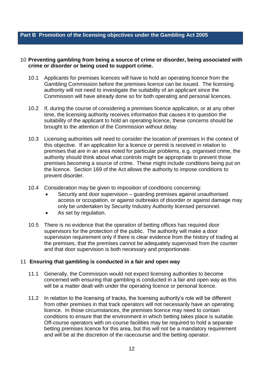#### <span id="page-11-0"></span>**Part B Promotion of the licensing objectives under the Gambling Act 2005**

#### <span id="page-11-1"></span>10 **Preventing gambling from being a source of crime or disorder, being associated with crime or disorder or being used to support crime.**

- 10.1 Applicants for premises licences will have to hold an operating licence from the Gambling Commission before the premises licence can be issued. The licensing authority will not need to investigate the suitability of an applicant since the Commission will have already done so for both operating and personal licences.
- 10.2 If, during the course of considering a premises licence application, or at any other time, the licensing authority receives information that causes it to question the suitability of the applicant to hold an operating licence, these concerns should be brought to the attention of the Commission without delay.
- 10.3 Licensing authorities will need to consider the location of premises in the context of this objective. If an application for a licence or permit is received in relation to premises that are in an area noted for particular problems, e.g. organised crime, the authority should think about what controls might be appropriate to prevent those premises becoming a source of crime. These might include conditions being put on the licence. Section 169 of the Act allows the authority to impose conditions to prevent disorder.
- 10.4 Consideration may be given to imposition of conditions concerning:
	- Security and door supervision guarding premises against unauthorised access or occupation, or against outbreaks of disorder or against damage may only be undertaken by Security Industry Authority licensed personnel.
	- As set by regulation.
- 10.5 There is no evidence that the operation of betting offices has required door supervisors for the protection of the public. The authority will make a door supervision requirement only if there is clear evidence from the history of trading at the premises, that the premises cannot be adequately supervised from the counter and that door supervision is both necessary and proportionate.

#### <span id="page-11-2"></span>11 **Ensuring that gambling is conducted in a fair and open way**

- 11.1 Generally, the Commission would not expect licensing authorities to become concerned with ensuring that gambling is conducted in a fair and open way as this will be a matter dealt with under the operating licence or personal licence.
- 11.2 In relation to the licensing of tracks, the licensing authority's role will be different from other premises in that track operators will not necessarily have an operating licence. In those circumstances, the premises licence may need to contain conditions to ensure that the environment in which betting takes place is suitable. Off-course operators with on-course facilities may be required to hold a separate betting premises licence for this area, but this will not be a mandatory requirement and will be at the discretion of the racecourse and the betting operator.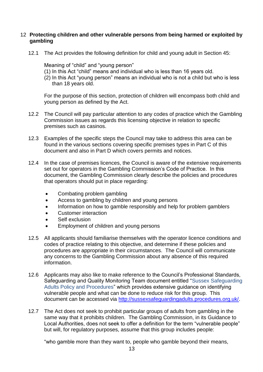## <span id="page-12-0"></span>12 **Protecting children and other vulnerable persons from being harmed or exploited by gambling**

12.1 The Act provides the following definition for child and young adult in Section 45:

Meaning of "child" and "young person"

- (1) In this Act "child" means and individual who is less than 16 years old.
- (2) In this Act "young person" means an individual who is not a child but who is less than 18 years old.

For the purpose of this section, protection of children will encompass both child and young person as defined by the Act.

- 12.2 The Council will pay particular attention to any codes of practice which the Gambling Commission issues as regards this licensing objective in relation to specific premises such as casinos.
- 12.3 Examples of the specific steps the Council may take to address this area can be found in the various sections covering specific premises types in Part C of this document and also in Part D which covers permits and notices.
- 12.4 In the case of premises licences, the Council is aware of the extensive requirements set out for operators in the Gambling Commission's Code of Practice. In this document, the Gambling Commission clearly describe the policies and procedures that operators should put in place regarding:
	- Combating problem gambling
	- Access to gambling by children and young persons
	- Information on how to gamble responsibly and help for problem gamblers
	- Customer interaction
	- Self exclusion
	- **Employment of children and young persons**
- 12.5 All applicants should familiarise themselves with the operator licence conditions and codes of practice relating to this objective, and determine if these policies and procedures are appropriate in their circumstances. The Council will communicate any concerns to the Gambling Commission about any absence of this required information.
- 12.6 Applicants may also like to make reference to the Council's Professional Standards, Safeguarding and Quality Monitoring Team document entitled "Sussex Safeguarding Adults Policy and Procedures" which provides extensive guidance on identifying vulnerable people and what can be done to reduce risk for this group. This document can be accessed via [http://sussexsafeguardingadults.procedures.org.uk/.](http://sussexsafeguardingadults.procedures.org.uk/)
- 12.7 The Act does not seek to prohibit particular groups of adults from gambling in the same way that it prohibits children. The Gambling Commission, in its Guidance to Local Authorities, does not seek to offer a definition for the term "vulnerable people" but will, for regulatory purposes, assume that this group includes people:

"who gamble more than they want to, people who gamble beyond their means,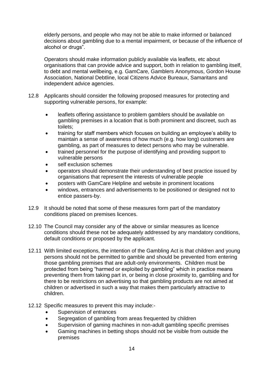elderly persons, and people who may not be able to make informed or balanced decisions about gambling due to a mental impairment, or because of the influence of alcohol or drugs".

Operators should make information publicly available via leaflets, etc about organisations that can provide advice and support, both in relation to gambling itself, to debt and mental wellbeing, e.g. GamCare, Gamblers Anonymous, Gordon House Association, National Debtline, local Citizens Advice Bureaux, Samaritans and independent advice agencies.

- 12.8 Applicants should consider the following proposed measures for protecting and supporting vulnerable persons, for example:
	- leaflets offering assistance to problem gamblers should be available on gambling premises in a location that is both prominent and discreet, such as toilets;
	- training for staff members which focuses on building an employee's ability to maintain a sense of awareness of how much (e.g. how long) customers are gambling, as part of measures to detect persons who may be vulnerable.
	- trained personnel for the purpose of identifying and providing support to vulnerable persons
	- self exclusion schemes
	- operators should demonstrate their understanding of best practice issued by organisations that represent the interests of vulnerable people
	- posters with GamCare Helpline and website in prominent locations
	- windows, entrances and advertisements to be positioned or designed not to entice passers-by.
- 12.9 It should be noted that some of these measures form part of the mandatory conditions placed on premises licences.
- 12.10 The Council may consider any of the above or similar measures as licence conditions should these not be adequately addressed by any mandatory conditions, default conditions or proposed by the applicant.
- 12.11 With limited exceptions, the intention of the Gambling Act is that children and young persons should not be permitted to gamble and should be prevented from entering those gambling premises that are adult-only environments. Children must be protected from being "harmed or exploited by gambling" which in practice means preventing them from taking part in, or being in close proximity to, gambling and for there to be restrictions on advertising so that gambling products are not aimed at children or advertised in such a way that makes them particularly attractive to children.
- 12.12 Specific measures to prevent this may include:-
	- Supervision of entrances
	- Segregation of gambling from areas frequented by children
	- Supervision of gaming machines in non-adult gambling specific premises
	- Gaming machines in betting shops should not be visible from outside the premises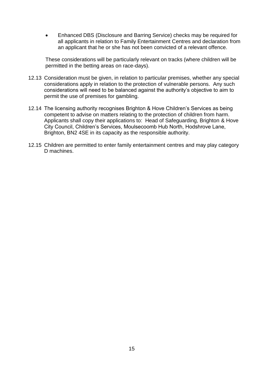Enhanced DBS (Disclosure and Barring Service) checks may be required for all applicants in relation to Family Entertainment Centres and declaration from an applicant that he or she has not been convicted of a relevant offence.

These considerations will be particularly relevant on tracks (where children will be permitted in the betting areas on race-days).

- 12.13 Consideration must be given, in relation to particular premises, whether any special considerations apply in relation to the protection of vulnerable persons. Any such considerations will need to be balanced against the authority's objective to aim to permit the use of premises for gambling.
- 12.14 The licensing authority recognises Brighton & Hove Children's Services as being competent to advise on matters relating to the protection of children from harm. Applicants shall copy their applications to: Head of Safeguarding, Brighton & Hove City Council, Children's Services, Moulsecoomb Hub North, Hodshrove Lane, Brighton, BN2 4SE in its capacity as the responsible authority.
- 12.15 Children are permitted to enter family entertainment centres and may play category D machines.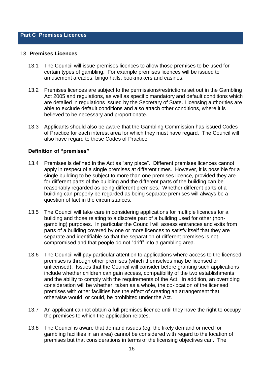#### <span id="page-15-0"></span>**Part C Premises Licences**

#### <span id="page-15-1"></span>13 **Premises Licences**

- 13.1 The Council will issue premises licences to allow those premises to be used for certain types of gambling. For example premises licences will be issued to amusement arcades, bingo halls, bookmakers and casinos.
- 13.2 Premises licences are subject to the permissions/restrictions set out in the Gambling Act 2005 and regulations, as well as specific mandatory and default conditions which are detailed in regulations issued by the Secretary of State. Licensing authorities are able to exclude default conditions and also attach other conditions, where it is believed to be necessary and proportionate.
- 13.3 Applicants should also be aware that the Gambling Commission has issued Codes of Practice for each interest area for which they must have regard. The Council will also have regard to these Codes of Practice.

### <span id="page-15-2"></span>**Definition of "premises"**

- 13.4 Premises is defined in the Act as "any place". Different premises licences cannot apply in respect of a single premises at different times. However, it is possible for a single building to be subject to more than one premises licence, provided they are for different parts of the building and the different parts of the building can be reasonably regarded as being different premises. Whether different parts of a building can properly be regarded as being separate premises will always be a question of fact in the circumstances.
- 13.5 The Council will take care in considering applications for multiple licences for a building and those relating to a discrete part of a building used for other (nongambling) purposes. In particular the Council will assess entrances and exits from parts of a building covered by one or more licences to satisfy itself that they are separate and identifiable so that the separation of different premises is not compromised and that people do not "drift" into a gambling area.
- 13.6 The Council will pay particular attention to applications where access to the licensed premises is through other premises (which themselves may be licensed or unlicensed). Issues that the Council will consider before granting such applications include whether children can gain access, compatibility of the two establishments; and the ability to comply with the requirements of the Act. In addition, an overriding consideration will be whether, taken as a whole, the co-location of the licensed premises with other facilities has the effect of creating an arrangement that otherwise would, or could, be prohibited under the Act.
- 13.7 An applicant cannot obtain a full premises licence until they have the right to occupy the premises to which the application relates.
- 13.8 The Council is aware that demand issues (eg. the likely demand or need for gambling facilities in an area) cannot be considered with regard to the location of premises but that considerations in terms of the licensing objectives can. The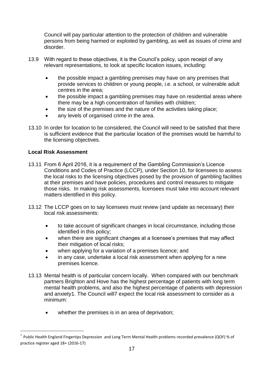Council will pay particular attention to the protection of children and vulnerable persons from being harmed or exploited by gambling, as well as issues of crime and disorder.

- 13.9 With regard to these objectives, it is the Council's policy, upon receipt of any relevant representations, to look at specific location issues, including:
	- the possible impact a gambling premises may have on any premises that provide services to children or young people, i.e. a school, or vulnerable adult centres in the area;
	- the possible impact a gambling premises may have on residential areas where there may be a high concentration of families with children;
	- the size of the premises and the nature of the activities taking place;
	- any levels of organised crime in the area.
- 13.10 In order for location to be considered, the Council will need to be satisfied that there is sufficient evidence that the particular location of the premises would be harmful to the licensing objectives.

## <span id="page-16-0"></span>**Local Risk Assessment**

l

- 13.11 From 6 April 2016, it is a requirement of the Gambling Commission's Licence Conditions and Codes of Practice (LCCP), under Section 10, for licensees to assess the local risks to the licensing objectives posed by the provision of gambling facilities at their premises and have policies, procedures and control measures to mitigate those risks. In making risk assessments, licensees must take into account relevant matters identified in this policy.
- 13.12 The LCCP goes on to say licensees must review (and update as necessary) their local risk assessments:
	- to take account of significant changes in local circumstance, including those identified in this policy;
	- when there are significant changes at a licensee's premises that may affect their mitigation of local risks;
	- when applying for a variation of a premises licence; and
	- in any case, undertake a local risk assessment when applying for a new premises licence.
- 13.13 Mental health is of particular concern locally. When compared with our benchmark partners Brighton and Hove has the highest percentage of patients with long term mental health problems, and also the highest percentage of patients with depression and anxiety1. The Council will7 expect the local risk assessment to consider as a minimum:
	- whether the premises is in an area of deprivation;

<sup>1</sup> Public Health England Fingertips Depression and Long Term Mental Health problems recorded prevalence (QOF) % of practice register aged 18+ (2016-17)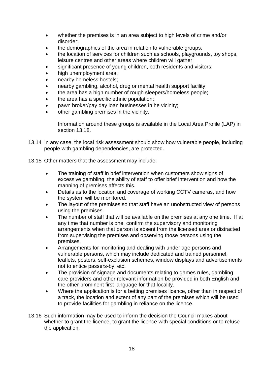- whether the premises is in an area subject to high levels of crime and/or disorder;
- the demographics of the area in relation to vulnerable groups;
- the location of services for children such as schools, playgrounds, toy shops, leisure centres and other areas where children will gather;
- significant presence of young children, both residents and visitors;
- high unemployment area;
- nearby homeless hostels;
- nearby gambling, alcohol, drug or mental health support facility;
- the area has a high number of rough sleepers/homeless people;
- the area has a specific ethnic population;
- pawn broker/pay day loan businesses in he vicinity;
- other gambling premises in the vicinity.

Information around these groups is available in the Local Area Profile (LAP) in section 13.18.

- 13.14 In any case, the local risk assessment should show how vulnerable people, including people with gambling dependencies, are protected.
- 13.15 Other matters that the assessment may include:
	- The training of staff in brief intervention when customers show signs of excessive gambling, the ability of staff to offer brief intervention and how the manning of premises affects this.
	- Details as to the location and coverage of working CCTV cameras, and how the system will be monitored.
	- The layout of the premises so that staff have an unobstructed view of persons using the premises.
	- The number of staff that will be available on the premises at any one time. If at any time that number is one, confirm the supervisory and monitoring arrangements when that person is absent from the licensed area or distracted from supervising the premises and observing those persons using the premises.
	- Arrangements for monitoring and dealing with under age persons and vulnerable persons, which may include dedicated and trained personnel, leaflets, posters, self-exclusion schemes, window displays and advertisements not to entice passers-by, etc.
	- The provision of signage and documents relating to games rules, gambling care providers and other relevant information be provided in both English and the other prominent first language for that locality.
	- Where the application is for a betting premises licence, other than in respect of a track, the location and extent of any part of the premises which will be used to provide facilities for gambling in reliance on the licence.
- 13.16 Such information may be used to inform the decision the Council makes about whether to grant the licence, to grant the licence with special conditions or to refuse the application.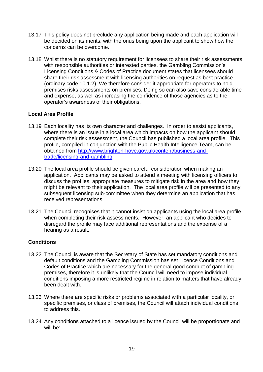- 13.17 This policy does not preclude any application being made and each application will be decided on its merits, with the onus being upon the applicant to show how the concerns can be overcome.
- 13.18 Whilst there is no statutory requirement for licensees to share their risk assessments with responsible authorities or interested parties, the Gambling Commission's Licensing Conditions & Codes of Practice document states that licensees should share their risk assessment with licensing authorities on request as best practice (ordinary code 10.1.2). We therefore consider it appropriate for operators to hold premises risks assessments on premises. Doing so can also save considerable time and expense, as well as increasing the confidence of those agencies as to the operator's awareness of their obligations.

## <span id="page-18-0"></span>**Local Area Profile**

- 13.19 Each locality has its own character and challenges. In order to assist applicants, where there is an issue in a local area which impacts on how the applicant should complete their risk assessment, the Council has published a local area profile. This profile, compiled in conjunction with the Public Health Intelligence Team, can be obtained from [http://www.brighton-hove.gov.uk/content/business-and](http://www.brighton-hove.gov.uk/content/business-and-trade/licensing-and-gambling)[trade/licensing-and-gambling.](http://www.brighton-hove.gov.uk/content/business-and-trade/licensing-and-gambling)
- 13.20 The local area profile should be given careful consideration when making an application. Applicants may be asked to attend a meeting with licensing officers to discuss the profiles, appropriate measures to mitigate risk in the area and how they might be relevant to their application. The local area profile will be presented to any subsequent licensing sub-committee when they determine an application that has received representations.
- 13.21 The Council recognises that it cannot insist on applicants using the local area profile when completing their risk assessments. However, an applicant who decides to disregard the profile may face additional representations and the expense of a hearing as a result.

### <span id="page-18-1"></span>**Conditions**

- 13.22 The Council is aware that the Secretary of State has set mandatory conditions and default conditions and the Gambling Commission has set Licence Conditions and Codes of Practice which are necessary for the general good conduct of gambling premises, therefore it is unlikely that the Council will need to impose individual conditions imposing a more restricted regime in relation to matters that have already been dealt with.
- 13.23 Where there are specific risks or problems associated with a particular locality, or specific premises, or class of premises, the Council will attach individual conditions to address this.
- 13.24 Any conditions attached to a licence issued by the Council will be proportionate and will be: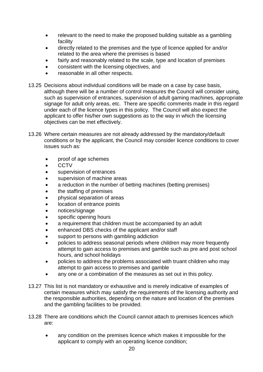- relevant to the need to make the proposed building suitable as a gambling facility
- directly related to the premises and the type of licence applied for and/or related to the area where the premises is based
- fairly and reasonably related to the scale, type and location of premises
- consistent with the licensing objectives, and
- reasonable in all other respects.
- 13.25 Decisions about individual conditions will be made on a case by case basis, although there will be a number of control measures the Council will consider using, such as supervision of entrances, supervision of adult gaming machines, appropriate signage for adult only areas, etc. There are specific comments made in this regard under each of the licence types in this policy. The Council will also expect the applicant to offer his/her own suggestions as to the way in which the licensing objectives can be met effectively.
- 13.26 Where certain measures are not already addressed by the mandatory/default conditions or by the applicant, the Council may consider licence conditions to cover issues such as:
	- proof of age schemes
	- $\bullet$  CCTV
	- supervision of entrances
	- supervision of machine areas
	- a reduction in the number of betting machines (betting premises)
	- the staffing of premises
	- physical separation of areas
	- location of entrance points
	- notices/signage
	- specific opening hours
	- a requirement that children must be accompanied by an adult
	- enhanced DBS checks of the applicant and/or staff
	- support to persons with gambling addiction
	- policies to address seasonal periods where children may more frequently attempt to gain access to premises and gamble such as pre and post school hours, and school holidays
	- policies to address the problems associated with truant children who may attempt to gain access to premises and gamble
	- any one or a combination of the measures as set out in this policy.
- 13.27 This list is not mandatory or exhaustive and is merely indicative of examples of certain measures which may satisfy the requirements of the licensing authority and the responsible authorities, depending on the nature and location of the premises and the gambling facilities to be provided.
- 13.28 There are conditions which the Council cannot attach to premises licences which are:
	- any condition on the premises licence which makes it impossible for the applicant to comply with an operating licence condition;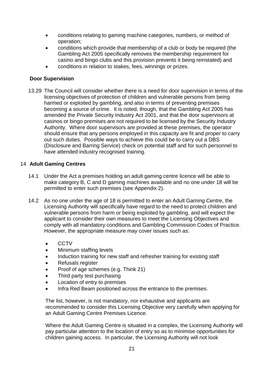- conditions relating to gaming machine categories, numbers, or method of operation;
- conditions which provide that membership of a club or body be required (the Gambling Act 2005 specifically removes the membership requirement for casino and bingo clubs and this provision prevents it being reinstated) and
- conditions in relation to stakes, fees, winnings or prizes.

## <span id="page-20-0"></span>**Door Supervision**

13.29 The Council will consider whether there is a need for door supervision in terms of the licensing objectives of protection of children and vulnerable persons from being harmed or exploited by gambling, and also in terms of preventing premises becoming a source of crime. It is noted, though, that the Gambling Act 2005 has amended the Private Security Industry Act 2001, and that the door supervisors at casinos or bingo premises are not required to be licensed by the Security Industry Authority. Where door supervisors are provided at these premises, the operator should ensure that any persons employed in this capacity are fit and proper to carry out such duties. Possible ways to achieve this could be to carry out a DBS (Disclosure and Barring Service) check on potential staff and for such personnel to have attended industry recognised training.

## <span id="page-20-1"></span>14 **Adult Gaming Centres**

- 14.1 Under the Act a premises holding an adult gaming centre licence will be able to make category B, C and D gaming machines available and no one under 18 will be permitted to enter such premises (see Appendix 2).
- 14.2 As no one under the age of 18 is permitted to enter an Adult Gaming Centre, the Licensing Authority will specifically have regard to the need to protect children and vulnerable persons from harm or being exploited by gambling, and will expect the applicant to consider their own measures to meet the Licensing Objectives and comply with all mandatory conditions and Gambling Commission Codes of Practice. However, the appropriate measure may cover issues such as:
	- CCTV
	- Minimum staffing levels
	- Induction training for new staff and refresher training for existing staff
	- Refusals register
	- Proof of age schemes (e.g. Think 21)
	- Third party test purchasing
	- Location of entry to premises
	- Infra Red Beam positioned across the entrance to the premises.

The list, however, is not mandatory, nor exhaustive and applicants are recommended to consider this Licensing Objective very carefully when applying for an Adult Gaming Centre Premises Licence.

Where the Adult Gaming Centre is situated in a complex, the Licensing Authority will pay particular attention to the location of entry so as to minimise opportunities for children gaining access. In particular, the Licensing Authority will not look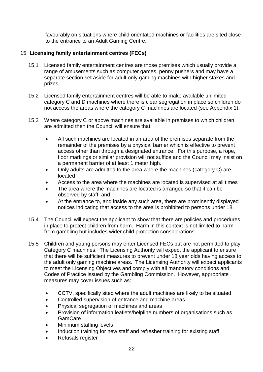favourably on situations where child orientated machines or facilities are sited close to the entrance to an Adult Gaming Centre.

## <span id="page-21-0"></span>15 **Licensing family entertainment centres (FECs)**

- 15.1 Licensed family entertainment centres are those premises which usually provide a range of amusements such as computer games, penny pushers and may have a separate section set aside for adult only gaming machines with higher stakes and prizes.
- 15.2 Licensed family entertainment centres will be able to make available unlimited category C and D machines where there is clear segregation in place so children do not access the areas where the category C machines are located (see Appendix 1).
- 15.3 Where category C or above machines are available in premises to which children are admitted then the Council will ensure that:
	- All such machines are located in an area of the premises separate from the remainder of the premises by a physical barrier which is effective to prevent access other than through a designated entrance. For this purpose, a rope, floor markings or similar provision will not suffice and the Council may insist on a permanent barrier of at least 1 meter high.
	- Only adults are admitted to the area where the machines (category C) are located
	- Access to the area where the machines are located is supervised at all times
	- The area where the machines are located is arranged so that it can be observed by staff; and
	- At the entrance to, and inside any such area, there are prominently displayed notices indicating that access to the area is prohibited to persons under 18.
- 15.4 The Council will expect the applicant to show that there are policies and procedures in place to protect children from harm. Harm in this context is not limited to harm from gambling but includes wider child protection considerations.
- 15.5 Children and young persons may enter Licensed FECs but are not permitted to play Category C machines. The Licensing Authority will expect the applicant to ensure that there will be sufficient measures to prevent under 18 year olds having access to the adult only gaming machine areas. The Licensing Authority will expect applicants to meet the Licensing Objectives and comply with all mandatory conditions and Codes of Practice issued by the Gambling Commission. However, appropriate measures may cover issues such as:
	- CCTV, specifically sited where the adult machines are likely to be situated
	- Controlled supervision of entrance and machine areas
	- Physical segregation of machines and areas
	- Provision of information leaflets/helpline numbers of organisations such as **GamCare**
	- Minimum staffing levels
	- Induction training for new staff and refresher training for existing staff
	- Refusals register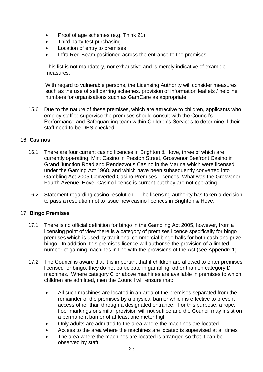- Proof of age schemes (e.g. Think 21)
- Third party test purchasing
- Location of entry to premises
- Infra Red Beam positioned across the entrance to the premises.

This list is not mandatory, nor exhaustive and is merely indicative of example measures.

With regard to vulnerable persons, the Licensing Authority will consider measures such as the use of self barring schemes, provision of information leaflets / helpline numbers for organisations such as GamCare as appropriate.

15.6 Due to the nature of these premises, which are attractive to children, applicants who employ staff to supervise the premises should consult with the Council's Performance and Safeguarding team within Children's Services to determine if their staff need to be DBS checked.

## <span id="page-22-0"></span>16 **Casinos**

- 16.1 There are four current casino licences in Brighton & Hove, three of which are currently operating, Mint Casino in Preston Street, Grosvenor Seafront Casino in Grand Junction Road and Rendezvous Casino in the Marina which were licensed under the Gaming Act 1968, and which have been subsequently converted into Gambling Act 2005 Converted Casino Premises Licences. What was the Grosvenor, Fourth Avenue, Hove, Casino licence is current but they are not operating.
- 16.2 Statement regarding casino resolution The licensing authority has taken a decision to pass a resolution not to issue new casino licences in Brighton & Hove.

### <span id="page-22-1"></span>17 **Bingo Premises**

- 17.1 There is no official definition for bingo in the Gambling Act 2005, however, from a licensing point of view there is a category of premises licence specifically for bingo premises which is used by traditional commercial bingo halls for both cash and prize bingo. In addition, this premises licence will authorise the provision of a limited number of gaming machines in line with the provisions of the Act (see Appendix 1).
- 17.2 The Council is aware that it is important that if children are allowed to enter premises licensed for bingo, they do not participate in gambling, other than on category D machines. Where category C or above machines are available in premises to which children are admitted, then the Council will ensure that:
	- All such machines are located in an area of the premises separated from the remainder of the premises by a physical barrier which is effective to prevent access other than through a designated entrance. For this purpose, a rope, floor markings or similar provision will not suffice and the Council may insist on a permanent barrier of at least one meter high
	- Only adults are admitted to the area where the machines are located
	- Access to the area where the machines are located is supervised at all times
	- The area where the machines are located is arranged so that it can be observed by staff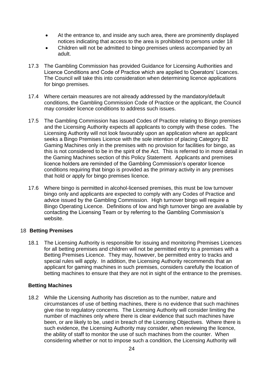- At the entrance to, and inside any such area, there are prominently displayed notices indicating that access to the area is prohibited to persons under 18
- Children will not be admitted to bingo premises unless accompanied by an adult.
- 17.3 The Gambling Commission has provided Guidance for Licensing Authorities and Licence Conditions and Code of Practice which are applied to Operators' Licences. The Council will take this into consideration when determining licence applications for bingo premises.
- 17.4 Where certain measures are not already addressed by the mandatory/default conditions, the Gambling Commission Code of Practice or the applicant, the Council may consider licence conditions to address such issues.
- 17.5 The Gambling Commission has issued Codes of Practice relating to Bingo premises and the Licensing Authority expects all applicants to comply with these codes. The Licensing Authority will not look favourably upon an application where an applicant seeks a Bingo Premises Licence with the sole intention of placing Category B2 Gaming Machines only in the premises with no provision for facilities for bingo, as this is not considered to be in the spirit of the Act. This is referred to in more detail in the Gaming Machines section of this Policy Statement. Applicants and premises licence holders are reminded of the Gambling Commission's operator licence conditions requiring that bingo is provided as the primary activity in any premises that hold or apply for bingo premises licence.
- 17.6 Where bingo is permitted in alcohol-licensed premises, this must be low turnover bingo only and applicants are expected to comply with any Codes of Practice and advice issued by the Gambling Commission. High turnover bingo will require a Bingo Operating Licence. Definitions of low and high turnover bingo are available by contacting the Licensing Team or by referring to the Gambling Commission's website.

### 18 **Betting Premises**

18.1 The Licensing Authority is responsible for issuing and monitoring Premises Licences for all betting premises and children will not be permitted entry to a premises with a Betting Premises Licence. They may, however, be permitted entry to tracks and special rules will apply. In addition, the Licensing Authority recommends that an applicant for gaming machines in such premises, considers carefully the location of betting machines to ensure that they are not in sight of the entrance to the premises.

## <span id="page-23-0"></span>**Betting Machines**

18.2 While the Licensing Authority has discretion as to the number, nature and circumstances of use of betting machines, there is no evidence that such machines give rise to regulatory concerns. The Licensing Authority will consider limiting the number of machines only where there is clear evidence that such machines have been, or are likely to be, used in breach of the Licensing Objectives. Where there is such evidence, the Licensing Authority may consider, when reviewing the licence, the ability of staff to monitor the use of such machines from the counter. When considering whether or not to impose such a condition, the Licensing Authority will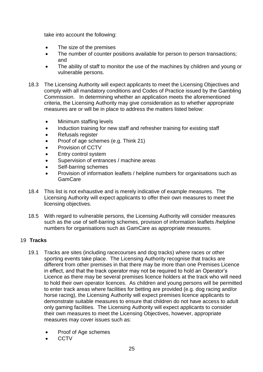take into account the following:

- The size of the premises
- The number of counter positions available for person to person transactions; and
- The ability of staff to monitor the use of the machines by children and young or vulnerable persons.
- 18.3 The Licensing Authority will expect applicants to meet the Licensing Objectives and comply with all mandatory conditions and Codes of Practice issued by the Gambling Commission. In determining whether an application meets the aforementioned criteria, the Licensing Authority may give consideration as to whether appropriate measures are or will be in place to address the matters listed below:
	- Minimum staffing levels
	- Induction training for new staff and refresher training for existing staff
	- Refusals register
	- Proof of age schemes (e.g. Think 21)
	- Provision of CCTV
	- Entry control system
	- Supervision of entrances / machine areas
	- Self-barring schemes
	- Provision of information leaflets / helpline numbers for organisations such as **GamCare**
- 18.4 This list is not exhaustive and is merely indicative of example measures. The Licensing Authority will expect applicants to offer their own measures to meet the licensing objectives.
- 18.5 With regard to vulnerable persons, the Licensing Authority will consider measures such as the use of self-barring schemes, provision of information leaflets /helpline numbers for organisations such as GamCare as appropriate measures.

## <span id="page-24-0"></span>19 **Tracks**

- 19.1 Tracks are sites (including racecourses and dog tracks) where races or other sporting events take place. The Licensing Authority recognise that tracks are different from other premises in that there may be more than one Premises Licence in effect, and that the track operator may not be required to hold an Operator's Licence as there may be several premises licence holders at the track who will need to hold their own operator licences. As children and young persons will be permitted to enter track areas where facilities for betting are provided (e.g. dog racing and/or horse racing), the Licensing Authority will expect premises licence applicants to demonstrate suitable measures to ensure that children do not have access to adult only gaming facilities. The Licensing Authority will expect applicants to consider their own measures to meet the Licensing Objectives, however, appropriate measures may cover issues such as:
	- Proof of Age schemes
	- **CCTV**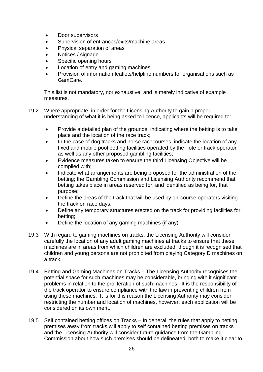- Door supervisors
- Supervision of entrances/exits/machine areas
- Physical separation of areas
- Notices / signage
- Specific opening hours
- Location of entry and gaming machines
- Provision of information leaflets/helpline numbers for organisations such as GamCare.

This list is not mandatory, nor exhaustive, and is merely indicative of example measures.

- 19.2 Where appropriate, in order for the Licensing Authority to gain a proper understanding of what it is being asked to licence, applicants will be required to:
	- Provide a detailed plan of the grounds, indicating where the betting is to take place and the location of the race track;
	- In the case of dog tracks and horse racecourses, indicate the location of any fixed and mobile pool betting facilities operated by the Tote or track operator as well as any other proposed gambling facilities;
	- Evidence measures taken to ensure the third Licensing Objective will be complied with;
	- Indicate what arrangements are being proposed for the administration of the betting; the Gambling Commission and Licensing Authority recommend that betting takes place in areas reserved for, and identified as being for, that purpose;
	- Define the areas of the track that will be used by on-course operators visiting the track on race days;
	- Define any temporary structures erected on the track for providing facilities for betting;
	- Define the location of any gaming machines (if any).
- 19.3 With regard to gaming machines on tracks, the Licensing Authority will consider carefully the location of any adult gaming machines at tracks to ensure that these machines are in areas from which children are excluded, though it is recognised that children and young persons are not prohibited from playing Category D machines on a track.
- 19.4 Betting and Gaming Machines on Tracks The Licensing Authority recognises the potential space for such machines may be considerable, bringing with it significant problems in relation to the proliferation of such machines. It is the responsibility of the track operator to ensure compliance with the law in preventing children from using these machines. It is for this reason the Licensing Authority may consider restricting the number and location of machines, however, each application will be considered on its own merit.
- 19.5 Self contained betting offices on Tracks In general, the rules that apply to betting premises away from tracks will apply to self contained betting premises on tracks and the Licensing Authority will consider future guidance from the Gambling Commission about how such premises should be delineated, both to make it clear to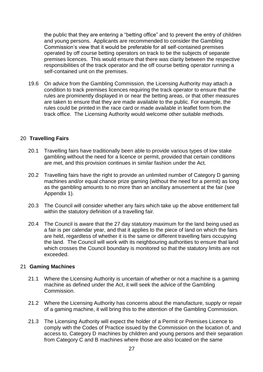the public that they are entering a "betting office" and to prevent the entry of children and young persons. Applicants are recommended to consider the Gambling Commission's view that it would be preferable for all self-contained premises operated by off course betting operators on track to be the subjects of separate premises licences. This would ensure that there was clarity between the respective responsibilities of the track operator and the off course betting operator running a self-contained unit on the premises.

19.6 On advice from the Gambling Commission, the Licensing Authority may attach a condition to track premises licences requiring the track operator to ensure that the rules are prominently displayed in or near the betting areas, or that other measures are taken to ensure that they are made available to the public. For example, the rules could be printed in the race card or made available in leaflet form from the track office. The Licensing Authority would welcome other suitable methods.

## <span id="page-26-0"></span>20 **Travelling Fairs**

- 20.1 Travelling fairs have traditionally been able to provide various types of low stake gambling without the need for a licence or permit, provided that certain conditions are met, and this provision continues in similar fashion under the Act.
- 20.2 Travelling fairs have the right to provide an unlimited number of Category D gaming machines and/or equal chance prize gaming (without the need for a permit) as long as the gambling amounts to no more than an ancillary amusement at the fair (see Appendix 1).
- 20.3 The Council will consider whether any fairs which take up the above entitlement fall within the statutory definition of a travelling fair.
- 20.4 The Council is aware that the 27 day statutory maximum for the land being used as a fair is per calendar year, and that it applies to the piece of land on which the fairs are held, regardless of whether it is the same or different travelling fairs occupying the land. The Council will work with its neighbouring authorities to ensure that land which crosses the Council boundary is monitored so that the statutory limits are not exceeded.

### <span id="page-26-1"></span>21 **Gaming Machines**

- 21.1 Where the Licensing Authority is uncertain of whether or not a machine is a gaming machine as defined under the Act, it will seek the advice of the Gambling Commission.
- 21.2 Where the Licensing Authority has concerns about the manufacture, supply or repair of a gaming machine, it will bring this to the attention of the Gambling Commission.
- 21.3 The Licensing Authority will expect the holder of a Permit or Premises Licence to comply with the Codes of Practice issued by the Commission on the location of, and access to, Category D machines by children and young persons and their separation from Category C and B machines where those are also located on the same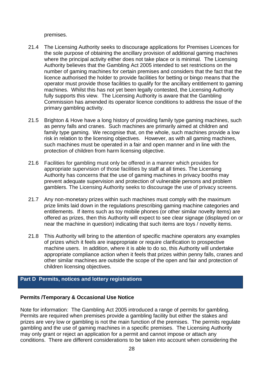premises.

- 21.4 The Licensing Authority seeks to discourage applications for Premises Licences for the sole purpose of obtaining the ancillary provision of additional gaming machines where the principal activity either does not take place or is minimal. The Licensing Authority believes that the Gambling Act 2005 intended to set restrictions on the number of gaming machines for certain premises and considers that the fact that the licence authorised the holder to provide facilities for betting or bingo means that the operator must provide those facilities to qualify for the ancillary entitlement to gaming machines. Whilst this has not yet been legally contested, the Licensing Authority fully supports this view. The Licensing Authority is aware that the Gambling Commission has amended its operator licence conditions to address the issue of the primary gambling activity.
- 21.5 Brighton & Hove have a long history of providing family type gaming machines, such as penny falls and cranes. Such machines are primarily aimed at children and family type gaming. We recognise that, on the whole, such machines provide a low risk in relation to the licensing objectives. However, as with all gaming machines, such machines must be operated in a fair and open manner and in line with the protection of children from harm licensing objective.
- 21.6 Facilities for gambling must only be offered in a manner which provides for appropriate supervision of those facilities by staff at all times. The Licensing Authority has concerns that the use of gaming machines in privacy booths may prevent adequate supervision and protection of vulnerable persons and problem gamblers. The Licensing Authority seeks to discourage the use of privacy screens.
- 21.7 Any non-monetary prizes within such machines must comply with the maximum prize limits laid down in the regulations prescribing gaming machine categories and entitlements. If items such as toy mobile phones (or other similar novelty items) are offered as prizes, then this Authority will expect to see clear signage (displayed on or near the machine in question) indicating that such items are toys / novelty items.
- 21.8 This Authority will bring to the attention of specific machine operators any examples of prizes which it feels are inappropriate or require clarification to prospective machine users. In addition, where it is able to do so, this Authority will undertake appropriate compliance action when it feels that prizes within penny falls, cranes and other similar machines are outside the scope of the open and fair and protection of children licensing objectives.

## <span id="page-27-0"></span>**Part D Permits, notices and lottery registrations**

### **Permits /Temporary & Occasional Use Notice**

Note for information: The Gambling Act 2005 introduced a range of permits for gambling. Permits are required when premises provide a gambling facility but either the stakes and prizes are very low or gambling is not the main function of the premises. The permits regulate gambling and the use of gaming machines in a specific premises. The Licensing Authority may only grant or reject an application for a permit and cannot impose or attach any conditions. There are different considerations to be taken into account when considering the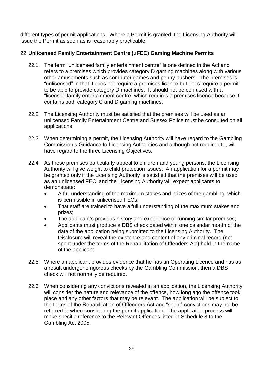different types of permit applications. Where a Permit is granted, the Licensing Authority will issue the Permit as soon as is reasonably practicable.

## <span id="page-28-0"></span>22 **Unlicensed Family Entertainment Centre (uFEC) Gaming Machine Permits**

- 22.1 The term "unlicensed family entertainment centre" is one defined in the Act and refers to a premises which provides category D gaming machines along with various other amusements such as computer games and penny pushers. The premises is "unlicensed" in that it does not require a premises licence but does require a permit to be able to provide category D machines. It should not be confused with a "licensed family entertainment centre" which requires a premises licence because it contains both category C and D gaming machines.
- 22.2 The Licensing Authority must be satisfied that the premises will be used as an unlicensed Family Entertainment Centre and Sussex Police must be consulted on all applications.
- 22.3 When determining a permit, the Licensing Authority will have regard to the Gambling Commission's Guidance to Licensing Authorities and although not required to, will have regard to the three Licensing Objectives.
- 22.4 As these premises particularly appeal to children and young persons, the Licensing Authority will give weight to child protection issues. An application for a permit may be granted only if the Licensing Authority is satisfied that the premises will be used as an unlicensed FEC, and the Licensing Authority will expect applicants to demonstrate:
	- A full understanding of the maximum stakes and prizes of the gambling, which is permissible in unlicensed FECs;
	- That staff are trained to have a full understanding of the maximum stakes and prizes;
	- The applicant's previous history and experience of running similar premises;
	- Applicants must produce a DBS check dated within one calendar month of the date of the application being submitted to the Licensing Authority. The Disclosure will reveal the existence and content of any criminal record (not spent under the terms of the Rehabilitation of Offenders Act) held in the name of the applicant.
- 22.5 Where an applicant provides evidence that he has an Operating Licence and has as a result undergone rigorous checks by the Gambling Commission, then a DBS check will not normally be required.
- 22.6 When considering any convictions revealed in an application, the Licensing Authority will consider the nature and relevance of the offence, how long ago the offence took place and any other factors that may be relevant. The application will be subject to the terms of the Rehabilitation of Offenders Act and "spent" convictions may not be referred to when considering the permit application. The application process will make specific reference to the Relevant Offences listed in Schedule 8 to the Gambling Act 2005.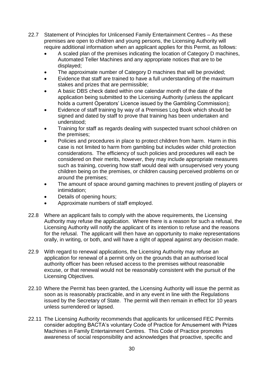- 22.7 Statement of Principles for Unlicensed Family Entertainment Centres As these premises are open to children and young persons, the Licensing Authority will require additional information when an applicant applies for this Permit, as follows:
	- A scaled plan of the premises indicating the location of Category D machines, Automated Teller Machines and any appropriate notices that are to be displayed;
	- The approximate number of Category D machines that will be provided;
	- Evidence that staff are trained to have a full understanding of the maximum stakes and prizes that are permissible;
	- A basic DBS check dated within one calendar month of the date of the application being submitted to the Licensing Authority (unless the applicant holds a current Operators' Licence issued by the Gambling Commission);
	- Evidence of staff training by way of a Premises Log Book which should be signed and dated by staff to prove that training has been undertaken and understood;
	- Training for staff as regards dealing with suspected truant school children on the premises;
	- Policies and procedures in place to protect children from harm. Harm in this case is not limited to harm from gambling but includes wider child protection considerations. The efficiency of such policies and procedures will each be considered on their merits, however, they may include appropriate measures such as training, covering how staff would deal with unsupervised very young children being on the premises, or children causing perceived problems on or around the premises;
	- The amount of space around gaming machines to prevent jostling of players or intimidation;
	- Details of opening hours;
	- Approximate numbers of staff employed.
- 22.8 Where an applicant fails to comply with the above requirements, the Licensing Authority may refuse the application. Where there is a reason for such a refusal, the Licensing Authority will notify the applicant of its intention to refuse and the reasons for the refusal. The applicant will then have an opportunity to make representations orally, in writing, or both, and will have a right of appeal against any decision made.
- 22.9 With regard to renewal applications, the Licensing Authority may refuse an application for renewal of a permit only on the grounds that an authorised local authority officer has been refused access to the premises without reasonable excuse, or that renewal would not be reasonably consistent with the pursuit of the Licensing Objectives.
- 22.10 Where the Permit has been granted, the Licensing Authority will issue the permit as soon as is reasonably practicable, and in any event in line with the Regulations issued by the Secretary of State. The permit will then remain in effect for 10 years unless surrendered or lapsed.
- 22.11 The Licensing Authority recommends that applicants for unlicensed FEC Permits consider adopting BACTA's voluntary Code of Practice for Amusement with Prizes Machines in Family Entertainment Centres. This Code of Practice promotes awareness of social responsibility and acknowledges that proactive, specific and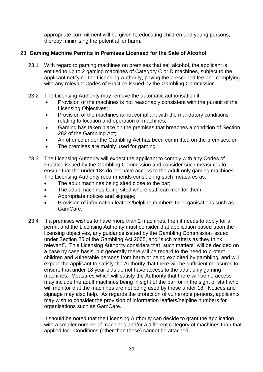appropriate commitment will be given to educating children and young persons, thereby minimising the potential for harm.

## <span id="page-30-0"></span>23 **Gaming Machine Permits in Premises Licensed for the Sale of Alcohol**

- 23.1 With regard to gaming machines on premises that sell alcohol, the applicant is entitled to up to 2 gaming machines of Category C or D machines, subject to the applicant notifying the Licensing Authority, paying the prescribed fee and complying with any relevant Codes of Practice issued by the Gambling Commission.
- 23.2 The Licensing Authority may remove the automatic authorisation if:
	- Provision of the machines is not reasonably consistent with the pursuit of the Licensing Objectives;
	- Provision of the machines is not compliant with the mandatory conditions relating to location and operation of machines;
	- Gaming has taken place on the premises that breaches a condition of Section 282 of the Gambling Act;
	- An offence under the Gambling Act has been committed on the premises; or
	- The premises are mainly used for gaming.
- 23.3 The Licensing Authority will expect the applicant to comply with any Codes of Practice issued by the Gambling Commission and consider such measures to ensure that the under 18s do not have access to the adult only gaming machines. The Licensing Authority recommends considering such measures as:
	- The adult machines being sited close to the bar;
	- The adult machines being sited where staff can monitor them;
	- Appropriate notices and signage;
	- Provision of information leaflets/helpline numbers for organisations such as GamCare.
- 23.4 If a premises wishes to have more than 2 machines, then it needs to apply for a permit and the Licensing Authority must consider that application based upon the licensing objectives, any guidance issued by the Gambling Commission issued under Section 25 of the Gambling Act 2005, and "such matters as they think relevant". This Licensing Authority considers that "such matters" will be decided on a case by case basis, but generally there will be regard to the need to protect children and vulnerable persons from harm or being exploited by gambling, and will expect the applicant to satisfy the Authority that there will be sufficient measures to ensure that under 18 year olds do not have access to the adult only gaming machines. Measures which will satisfy the Authority that there will be no access may include the adult machines being in sight of the bar, or in the sight of staff who will monitor that the machines are not being used by those under 18. Notices and signage may also help. As regards the protection of vulnerable persons, applicants may wish to consider the provision of information leaflets/helpline numbers for organisations such as GamCare.

It should be noted that the Licensing Authority can decide to grant the application with a smaller number of machines and/or a different category of machines than that applied for. Conditions (other than these) cannot be attached.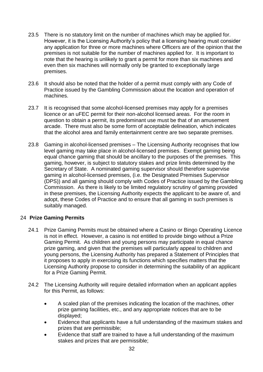- 23.5 There is no statutory limit on the number of machines which may be applied for. However, it is the Licensing Authority's policy that a licensing hearing must consider any application for three or more machines where Officers are of the opinion that the premises is not suitable for the number of machines applied for. It is important to note that the hearing is unlikely to grant a permit for more than six machines and even then six machines will normally only be granted to exceptionally large premises.
- 23.6 It should also be noted that the holder of a permit must comply with any Code of Practice issued by the Gambling Commission about the location and operation of machines.
- 23.7 It is recognised that some alcohol-licensed premises may apply for a premises licence or an uFEC permit for their non-alcohol licensed areas. For the room in question to obtain a permit, its predominant use must be that of an amusement arcade. There must also be some form of acceptable delineation, which indicates that the alcohol area and family entertainment centre are two separate premises.
- 23.8 Gaming in alcohol-licensed premises The Licensing Authority recognises that low level gaming may take place in alcohol-licensed premises. Exempt gaming being equal chance gaming that should be ancillary to the purposes of the premises. This gaming, however, is subject to statutory stakes and prize limits determined by the Secretary of State. A nominated gaming supervisor should therefore supervise gaming in alcohol-licensed premises, (i.e. the Designated Premises Supervisor (DPS)) and all gaming should comply with Codes of Practice issued by the Gambling Commission. As there is likely to be limited regulatory scrutiny of gaming provided in these premises, the Licensing Authority expects the applicant to be aware of, and adopt, these Codes of Practice and to ensure that all gaming in such premises is suitably managed.

## <span id="page-31-0"></span>24 **Prize Gaming Permits**

- 24.1 Prize Gaming Permits must be obtained where a Casino or Bingo Operating Licence is not in effect. However, a casino is not entitled to provide bingo without a Prize Gaming Permit. As children and young persons may participate in equal chance prize gaming, and given that the premises will particularly appeal to children and young persons, the Licensing Authority has prepared a Statement of Principles that it proposes to apply in exercising its functions which specifies matters that the Licensing Authority propose to consider in determining the suitability of an applicant for a Prize Gaming Permit.
- 24.2 The Licensing Authority will require detailed information when an applicant applies for this Permit, as follows:
	- A scaled plan of the premises indicating the location of the machines, other prize gaming facilities, etc., and any appropriate notices that are to be displayed;
	- Evidence that applicants have a full understanding of the maximum stakes and prizes that are permissible;
	- Evidence that staff are trained to have a full understanding of the maximum stakes and prizes that are permissible;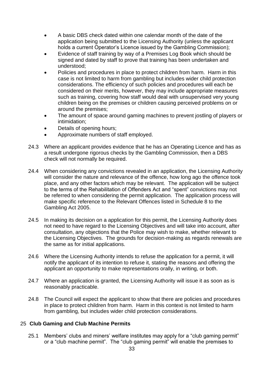- A basic DBS check dated within one calendar month of the date of the application being submitted to the Licensing Authority (unless the applicant holds a current Operator's Licence issued by the Gambling Commission);
- Evidence of staff training by way of a Premises Log Book which should be signed and dated by staff to prove that training has been undertaken and understood;
- Policies and procedures in place to protect children from harm. Harm in this case is not limited to harm from gambling but includes wider child protection considerations. The efficiency of such policies and procedures will each be considered on their merits, however, they may include appropriate measures such as training, covering how staff would deal with unsupervised very young children being on the premises or children causing perceived problems on or around the premises;
- The amount of space around gaming machines to prevent jostling of players or intimidation;
- Details of opening hours;
- Approximate numbers of staff employed.
- 24.3 Where an applicant provides evidence that he has an Operating Licence and has as a result undergone rigorous checks by the Gambling Commission, then a DBS check will not normally be required.
- 24.4 When considering any convictions revealed in an application, the Licensing Authority will consider the nature and relevance of the offence, how long ago the offence took place, and any other factors which may be relevant. The application will be subject to the terms of the Rehabilitation of Offenders Act and "spent" convictions may not be referred to when considering the permit application. The application process will make specific reference to the Relevant Offences listed in Schedule 8 to the Gambling Act 2005.
- 24.5 In making its decision on a application for this permit, the Licensing Authority does not need to have regard to the Licensing Objectives and will take into account, after consultation, any objections that the Police may wish to make, whether relevant to the Licensing Objectives. The grounds for decision-making as regards renewals are the same as for initial applications.
- 24.6 Where the Licensing Authority intends to refuse the application for a permit, it will notify the applicant of its intention to refuse it, stating the reasons and offering the applicant an opportunity to make representations orally, in writing, or both.
- 24.7 Where an application is granted, the Licensing Authority will issue it as soon as is reasonably practicable.
- 24.8 The Council will expect the applicant to show that there are policies and procedures in place to protect children from harm. Harm in this context is not limited to harm from gambling, but includes wider child protection considerations.

### <span id="page-32-0"></span>25 **Club Gaming and Club Machine Permits**

25.1 Members' clubs and miners' welfare institutes may apply for a "club gaming permit" or a "club machine permit". The "club gaming permit" will enable the premises to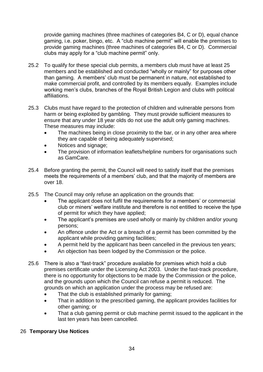provide gaming machines (three machines of categories B4, C or D), equal chance gaming, i.e. poker, bingo, etc. A "club machine permit" will enable the premises to provide gaming machines (three machines of categories B4, C or D). Commercial clubs may apply for a "club machine permit" only.

- 25.2 To qualify for these special club permits, a members club must have at least 25 members and be established and conducted "wholly or mainly" for purposes other than gaming. A members' club must be permanent in nature, not established to make commercial profit, and controlled by its members equally. Examples include working men's clubs, branches of the Royal British Legion and clubs with political affiliations.
- 25.3 Clubs must have regard to the protection of children and vulnerable persons from harm or being exploited by gambling. They must provide sufficient measures to ensure that any under 18 year olds do not use the adult only gaming machines. These measures may include:
	- The machines being in close proximity to the bar, or in any other area where they are capable of being adequately supervised;
	- Notices and signage;
	- The provision of information leaflets/helpline numbers for organisations such as GamCare.
- 25.4 Before granting the permit, the Council will need to satisfy itself that the premises meets the requirements of a members' club, and that the majority of members are over 18.
- 25.5 The Council may only refuse an application on the grounds that:
	- The applicant does not fulfil the requirements for a members' or commercial club or miners' welfare institute and therefore is not entitled to receive the type of permit for which they have applied;
	- The applicant's premises are used wholly or mainly by children and/or young persons;
	- An offence under the Act or a breach of a permit has been committed by the applicant while providing gaming facilities;
	- A permit held by the applicant has been cancelled in the previous ten years;
	- An objection has been lodged by the Commission or the police.
- 25.6 There is also a "fast-track" procedure available for premises which hold a club premises certificate under the Licensing Act 2003. Under the fast-track procedure, there is no opportunity for objections to be made by the Commission or the police, and the grounds upon which the Council can refuse a permit is reduced. The grounds on which an application under the process may be refused are:
	- That the club is established primarily for gaming:
	- That in addition to the prescribed gaming, the applicant provides facilities for other gaming; or
	- That a club gaming permit or club machine permit issued to the applicant in the last ten years has been cancelled.

## <span id="page-33-0"></span>26 **Temporary Use Notices**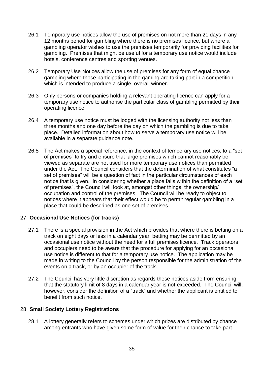- 26.1 Temporary use notices allow the use of premises on not more than 21 days in any 12 months period for gambling where there is no premises licence, but where a gambling operator wishes to use the premises temporarily for providing facilities for gambling. Premises that might be useful for a temporary use notice would include hotels, conference centres and sporting venues.
- 26.2 Temporary Use Notices allow the use of premises for any form of equal chance gambling where those participating in the gaming are taking part in a competition which is intended to produce a single, overall winner.
- 26.3 Only persons or companies holding a relevant operating licence can apply for a temporary use notice to authorise the particular class of gambling permitted by their operating licence.
- 26.4 A temporary use notice must be lodged with the licensing authority not less than three months and one day before the day on which the gambling is due to take place. Detailed information about how to serve a temporary use notice will be available in a separate guidance note.
- 26.5 The Act makes a special reference, in the context of temporary use notices, to a "set of premises" to try and ensure that large premises which cannot reasonably be viewed as separate are not used for more temporary use notices than permitted under the Act. The Council considers that the determination of what constitutes "a set of premises" will be a question of fact in the particular circumstances of each notice that is given. In considering whether a place falls within the definition of a "set of premises", the Council will look at, amongst other things, the ownership/ occupation and control of the premises. The Council will be ready to object to notices where it appears that their effect would be to permit regular gambling in a place that could be described as one set of premises.

### <span id="page-34-0"></span>27 **Occasional Use Notices (for tracks)**

- 27.1 There is a special provision in the Act which provides that where there is betting on a track on eight days or less in a calendar year, betting may be permitted by an occasional use notice without the need for a full premises licence. Track operators and occupiers need to be aware that the procedure for applying for an occasional use notice is different to that for a temporary use notice. The application may be made in writing to the Council by the person responsible for the administration of the events on a track, or by an occupier of the track.
- 27.2 The Council has very little discretion as regards these notices aside from ensuring that the statutory limit of 8 days in a calendar year is not exceeded. The Council will, however, consider the definition of a "track" and whether the applicant is entitled to benefit from such notice.

## <span id="page-34-1"></span>28 **Small Society Lottery Registrations**

28.1 A lottery generally refers to schemes under which prizes are distributed by chance among entrants who have given some form of value for their chance to take part.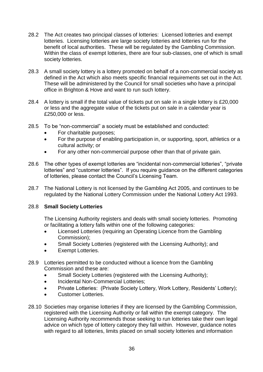- 28.2 The Act creates two principal classes of lotteries: Licensed lotteries and exempt lotteries. Licensing lotteries are large society lotteries and lotteries run for the benefit of local authorities. These will be regulated by the Gambling Commission. Within the class of exempt lotteries, there are four sub-classes, one of which is small society lotteries.
- 28.3 A small society lottery is a lottery promoted on behalf of a non-commercial society as defined in the Act which also meets specific financial requirements set out in the Act. These will be administered by the Council for small societies who have a principal office in Brighton & Hove and want to run such lottery.
- 28.4 A lottery is small if the total value of tickets put on sale in a single lottery is £20,000 or less and the aggregate value of the tickets put on sale in a calendar year is £250,000 or less.
- 28.5 To be "non-commercial" a society must be established and conducted:
	- For charitable purposes;
	- For the purpose of enabling participation in, or supporting, sport, athletics or a cultural activity; or
	- For any other non-commercial purpose other than that of private gain.
- 28.6 The other types of exempt lotteries are "incidental non-commercial lotteries", "private lotteries" and "customer lotteries". If you require guidance on the different categories of lotteries, please contact the Council's Licensing Team.
- 28.7 The National Lottery is not licensed by the Gambling Act 2005, and continues to be regulated by the National Lottery Commission under the National Lottery Act 1993.

## 28.8 **Small Society Lotteries**

The Licensing Authority registers and deals with small society lotteries. Promoting or facilitating a lottery falls within one of the following categories:

- Licensed Lotteries (requiring an Operating Licence from the Gambling Commission);
- Small Society Lotteries (registered with the Licensing Authority); and
- Exempt Lotteries.
- 28.9 Lotteries permitted to be conducted without a licence from the Gambling Commission and these are:
	- Small Society Lotteries (registered with the Licensing Authority);
	- Incidental Non-Commercial Lotteries;
	- Private Lotteries: (Private Society Lottery, Work Lottery, Residents' Lottery);
	- Customer Lotteries.
- 28.10 Societies may organise lotteries if they are licensed by the Gambling Commission, registered with the Licensing Authority or fall within the exempt category. The Licensing Authority recommends those seeking to run lotteries take their own legal advice on which type of lottery category they fall within. However, guidance notes with regard to all lotteries, limits placed on small society lotteries and information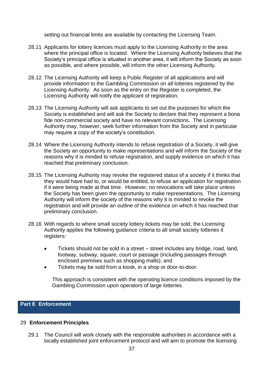setting out financial limits are available by contacting the Licensing Team.

- 28.11 Applicants for lottery licences must apply to the Licensing Authority in the area where the principal office is located. Where the Licensing Authority believes that the Society's principal office is situated in another area, it will inform the Society as soon as possible, and where possible, will inform the other Licensing Authority.
- 28.12 The Licensing Authority will keep a Public Register of all applications and will provide information to the Gambling Commission on all lotteries registered by the Licensing Authority. As soon as the entry on the Register is completed, the Licensing Authority will notify the applicant of registration.
- 28.13 The Licensing Authority will ask applicants to set out the purposes for which the Society is established and will ask the Society to declare that they represent a bona fide non-commercial society and have no relevant convictions. The Licensing Authority may, however, seek further information from the Society and in particular may require a copy of the society's constitution.
- 28.14 Where the Licensing Authority intends to refuse registration of a Society, it will give the Society an opportunity to make representations and will inform the Society of the reasons why it is minded to refuse registration, and supply evidence on which it has reached that preliminary conclusion.
- 28.15 The Licensing Authority may revoke the registered status of a society if it thinks that they would have had to, or would be entitled, to refuse an application for registration if it were being made at that time. However, no revocations will take place unless the Society has been given the opportunity to make representations. The Licensing Authority will inform the society of the reasons why it is minded to revoke the registration and will provide an outline of the evidence on which it has reached that preliminary conclusion.
- 28.16 With regards to where small society lottery tickets may be sold, the Licensing Authority applies the following guidance criteria to all small society lotteries it registers:
	- Tickets should not be sold in a street street includes any bridge, road, land, footway, subway, square, court or passage (including passages through enclosed premises such as shopping malls); and
	- Tickets may be sold from a kiosk, in a shop or door-to-door.

This approach is consistent with the operating licence conditions imposed by the Gambling Commission upon operators of large lotteries.

## <span id="page-36-0"></span>**Part E Enforcement**

### <span id="page-36-1"></span>29 **Enforcement Principles**

29.1 The Council will work closely with the responsible authorities in accordance with a locally established joint enforcement protocol and will aim to promote the licensing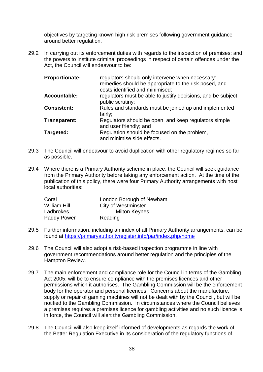objectives by targeting known high risk premises following government guidance around better regulation.

29.2 In carrying out its enforcement duties with regards to the inspection of premises; and the powers to institute criminal proceedings in respect of certain offences under the Act, the Council will endeavour to be:

| <b>Proportionate:</b> | regulators should only intervene when necessary:<br>remedies should be appropriate to the risk posed, and<br>costs identified and minimised; |
|-----------------------|----------------------------------------------------------------------------------------------------------------------------------------------|
| <b>Accountable:</b>   | regulators must be able to justify decisions, and be subject<br>public scrutiny;                                                             |
| <b>Consistent:</b>    | Rules and standards must be joined up and implemented<br>fairly;                                                                             |
| Transparent:          | Regulators should be open, and keep regulators simple<br>and user friendly; and                                                              |
| Targeted:             | Regulation should be focused on the problem,<br>and minimise side effects.                                                                   |

- 29.3 The Council will endeavour to avoid duplication with other regulatory regimes so far as possible.
- 29.4 Where there is a Primary Authority scheme in place, the Council will seek guidance from the Primary Authority before taking any enforcement action. At the time of the publication of this policy, there were four Primary Authority arrangements with host local authorities:

| Coral               | London Borough of Newham   |
|---------------------|----------------------------|
| <b>William Hill</b> | <b>City of Westminster</b> |
| Ladbrokes           | <b>Milton Keynes</b>       |
| <b>Paddy Power</b>  | Reading                    |

- 29.5 Further information, including an index of all Primary Authority arrangements, can be found at<https://primaryauthorityregister.info/par/index.php/home>
- 29.6 The Council will also adopt a risk-based inspection programme in line with government recommendations around better regulation and the principles of the Hampton Review.
- 29.7 The main enforcement and compliance role for the Council in terms of the Gambling Act 2005, will be to ensure compliance with the premises licences and other permissions which it authorises. The Gambling Commission will be the enforcement body for the operator and personal licences. Concerns about the manufacture, supply or repair of gaming machines will not be dealt with by the Council, but will be notified to the Gambling Commission. In circumstances where the Council believes a premises requires a premises licence for gambling activities and no such licence is in force, the Council will alert the Gambling Commission.
- 29.8 The Council will also keep itself informed of developments as regards the work of the Better Regulation Executive in its consideration of the regulatory functions of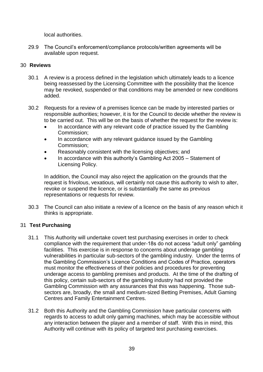local authorities.

29.9 The Council's enforcement/compliance protocols/written agreements will be available upon request.

## <span id="page-38-0"></span>30 **Reviews**

- 30.1 A review is a process defined in the legislation which ultimately leads to a licence being reassessed by the Licensing Committee with the possibility that the licence may be revoked, suspended or that conditions may be amended or new conditions added.
- 30.2 Requests for a review of a premises licence can be made by interested parties or responsible authorities; however, it is for the Council to decide whether the review is to be carried out. This will be on the basis of whether the request for the review is:
	- In accordance with any relevant code of practice issued by the Gambling Commission;
	- In accordance with any relevant guidance issued by the Gambling Commission;
	- Reasonably consistent with the licensing objectives; and
	- In accordance with this authority's Gambling Act 2005 Statement of Licensing Policy.

In addition, the Council may also reject the application on the grounds that the request is frivolous, vexatious, will certainly not cause this authority to wish to alter, revoke or suspend the licence, or is substantially the same as previous representations or requests for review.

30.3 The Council can also initiate a review of a licence on the basis of any reason which it thinks is appropriate.

## <span id="page-38-1"></span>31 **Test Purchasing**

- 31.1 This Authority will undertake covert test purchasing exercises in order to check compliance with the requirement that under-18s do not access "adult only" gambling facilities. This exercise is in response to concerns about underage gambling vulnerabilities in particular sub-sectors of the gambling industry. Under the terms of the Gambling Commission's Licence Conditions and Codes of Practice, operators must monitor the effectiveness of their policies and procedures for preventing underage access to gambling premises and products. At the time of the drafting of this policy, certain sub-sectors of the gambling industry had not provided the Gambling Commission with any assurances that this was happening. Those subsectors are, broadly, the small and medium-sized Betting Premises, Adult Gaming Centres and Family Entertainment Centres.
- 31.2 Both this Authority and the Gambling Commission have particular concerns with regards to access to adult only gaming machines, which may be accessible without any interaction between the player and a member of staff. With this in mind, this Authority will continue with its policy of targeted test purchasing exercises.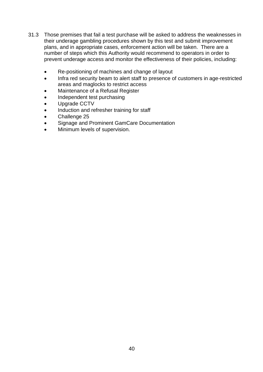- 31.3 Those premises that fail a test purchase will be asked to address the weaknesses in their underage gambling procedures shown by this test and submit improvement plans, and in appropriate cases, enforcement action will be taken. There are a number of steps which this Authority would recommend to operators in order to prevent underage access and monitor the effectiveness of their policies, including:
	- Re-positioning of machines and change of layout
	- Infra red security beam to alert staff to presence of customers in age-restricted areas and maglocks to restrict access
	- Maintenance of a Refusal Register
	- Independent test purchasing
	- Upgrade CCTV
	- Induction and refresher training for staff
	- Challenge 25
	- Signage and Prominent GamCare Documentation
	- Minimum levels of supervision.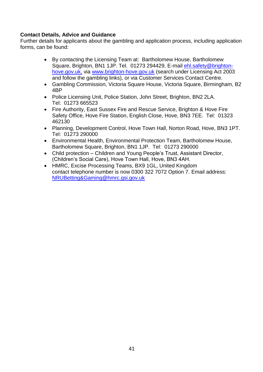## **Contact Details, Advice and Guidance**

Further details for applicants about the gambling and application process, including application forms, can be found:

- By contacting the Licensing Team at: Bartholomew House, Bartholomew Square, Brighton, BN1 1JP. Tel. 01273 294429, E-mail [ehl.safety@brighton](mailto:ehl.safety@brighton-hove.gov.uk)[hove.gov.uk,](mailto:ehl.safety@brighton-hove.gov.uk) via [www.brighton-hove.gov.uk](http://www.brighton-hove.gov.uk/) (search under Licensing Act 2003 and follow the gambling links), or via Customer Services Contact Centre.
- Gambling Commission, Victoria Square House, Victoria Square, Birmingham, B2 4BP
- Police Licensing Unit, Police Station, John Street, Brighton, BN2 2LA. Tel: 01273 665523
- Fire Authority, East Sussex Fire and Rescue Service, Brighton & Hove Fire Safety Office, Hove Fire Station, English Close, Hove, BN3 7EE. Tel: 01323 462130
- Planning, Development Control, Hove Town Hall, Norton Road, Hove, BN3 1PT. Tel: 01273 290000
- Environmental Health, Environmental Protection Team, Bartholomew House, Bartholomew Square, Brighton, BN1 1JP. Tel: 01273 290000
- Child protection Children and Young People's Trust, Assistant Director, (Children's Social Care), Hove Town Hall, Hove, BN3 4AH.
- HMRC, Excise Processing Teams, BX9 1GL, United Kingdom contact telephone number is now 0300 322 7072 Option 7. Email address: [NRUBetting&Gaming@hmrc.gsi.gov.uk](mailto:NRUBetting&Gaming@hmrc.gsi.gov.uk)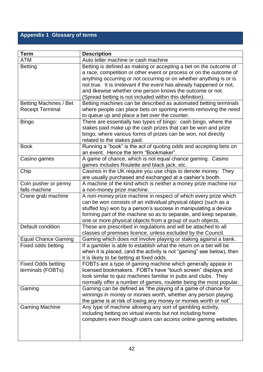## <span id="page-41-0"></span>**Appendix 1 Glossary of terms**

| <b>Term</b>                | <b>Description</b>                                                    |
|----------------------------|-----------------------------------------------------------------------|
| ATM                        | Auto teller machine or cash machine                                   |
| <b>Betting</b>             | Betting is defined as making or accepting a bet on the outcome of     |
|                            | a race, competition or other event or process or on the outcome of    |
|                            | anything occurring or not occurring or on whether anything is or is   |
|                            | not true. It is irrelevant if the event has already happened or not,  |
|                            | and likewise whether one person knows the outcome or not.             |
|                            | (Spread betting is not included within this definition).              |
| Betting Machines / Bet     | Betting machines can be described as automated betting terminals      |
| <b>Receipt Terminal</b>    | where people can place bets on sporting events removing the need      |
|                            | to queue up and place a bet over the counter.                         |
| <b>Bingo</b>               | There are essentially two types of bingo: cash bingo, where the       |
|                            | stakes paid make up the cash prizes that can be won and prize         |
|                            | bingo, where various forms of prizes can be won, not directly         |
|                            | related to the stakes paid.                                           |
| <b>Book</b>                | Running a "book" is the act of quoting odds and accepting bets on     |
|                            | an event. Hence the term "Bookmaker".                                 |
| Casino games               | A game of chance, which is not equal chance gaming. Casino            |
|                            | games includes Roulette and black jack, etc.                          |
| Chip                       | Casinos in the UK require you use chips to denote money. They         |
|                            | are usually purchased and exchanged at a cashier's booth.             |
| Coin pusher or penny       | A machine of the kind which is neither a money prize machine nor      |
| falls machine              | a non-money prize machine.                                            |
| Crane grab machine         | A non-money prize machine in respect of which every prize which       |
|                            | can be won consists of an individual physical object (such as a       |
|                            | stuffed toy) won by a person's success in manipulating a device       |
|                            | forming part of the machine so as to separate, and keep separate,     |
|                            | one or more physical objects from a group of such objects.            |
| Default condition          | These are prescribed in regulations and will be attached to all       |
|                            | classes of premises licence, unless excluded by the Council.          |
| <b>Equal Chance Gaming</b> | Gaming which does not involve playing or staking against a bank.      |
| Fixed odds betting         | If a gambler is able to establish what the return on a bet will be    |
|                            | when it is placed, (and the activity is not "gaming" see below), then |
|                            | it is likely to be betting at fixed odds.                             |
| <b>Fixed Odds betting</b>  | FOBTs are a type of gaming machine which generally appear in          |
| terminals (FOBTs)          | licensed bookmakers. FOBTs have "touch screen" displays and           |
|                            | look similar to quiz machines familiar in pubs and clubs. They        |
|                            | normally offer a number of games, roulette being the most popular.    |
| Gaming                     | Gaming can be defined as "the playing of a game of chance for         |
|                            | winnings in money or monies worth, whether any person playing         |
|                            | the game is at risk of losing any money or monies worth or not".      |
| <b>Gaming Machine</b>      | Any type of machine allowing any sort of gambling activity,           |
|                            | including betting on virtual events but not including home            |
|                            | computers even though users can access online gaming websites.        |
|                            |                                                                       |
|                            |                                                                       |
|                            |                                                                       |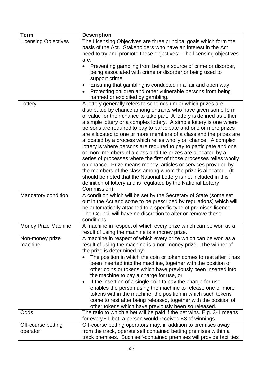| <b>Term</b>                 | <b>Description</b>                                                                                                                                                                                                                                                                                                                                                                                                                                                                                                                                                                                                                                                                                                                                                                                                                                                                                                                                                                                       |
|-----------------------------|----------------------------------------------------------------------------------------------------------------------------------------------------------------------------------------------------------------------------------------------------------------------------------------------------------------------------------------------------------------------------------------------------------------------------------------------------------------------------------------------------------------------------------------------------------------------------------------------------------------------------------------------------------------------------------------------------------------------------------------------------------------------------------------------------------------------------------------------------------------------------------------------------------------------------------------------------------------------------------------------------------|
| <b>Licensing Objectives</b> | The Licensing Objectives are three principal goals which form the<br>basis of the Act. Stakeholders who have an interest in the Act<br>need to try and promote these objectives: The licensing objectives<br>are:                                                                                                                                                                                                                                                                                                                                                                                                                                                                                                                                                                                                                                                                                                                                                                                        |
|                             | Preventing gambling from being a source of crime or disorder,<br>being associated with crime or disorder or being used to<br>support crime<br>Ensuring that gambling is conducted in a fair and open way                                                                                                                                                                                                                                                                                                                                                                                                                                                                                                                                                                                                                                                                                                                                                                                                 |
|                             | Protecting children and other vulnerable persons from being<br>harmed or exploited by gambling.                                                                                                                                                                                                                                                                                                                                                                                                                                                                                                                                                                                                                                                                                                                                                                                                                                                                                                          |
| Lottery                     | A lottery generally refers to schemes under which prizes are<br>distributed by chance among entrants who have given some form<br>of value for their chance to take part. A lottery is defined as either<br>a simple lottery or a complex lottery. A simple lottery is one where<br>persons are required to pay to participate and one or more prizes<br>are allocated to one or more members of a class and the prizes are<br>allocated by a process which relies wholly on chance. A complex<br>lottery is where persons are required to pay to participate and one<br>or more members of a class and the prizes are allocated by a<br>series of processes where the first of those processes relies wholly<br>on chance. Prize means money, articles or services provided by<br>the members of the class among whom the prize is allocated. (It<br>should be noted that the National Lottery is not included in this<br>definition of lottery and is regulated by the National Lottery<br>Commission). |
| Mandatory condition         | A condition which will be set by the Secretary of State (some set<br>out in the Act and some to be prescribed by regulations) which will<br>be automatically attached to a specific type of premises licence.<br>The Council will have no discretion to alter or remove these<br>conditions.                                                                                                                                                                                                                                                                                                                                                                                                                                                                                                                                                                                                                                                                                                             |
| <b>Money Prize Machine</b>  | A machine in respect of which every prize which can be won as a<br>result of using the machine is a money prize.                                                                                                                                                                                                                                                                                                                                                                                                                                                                                                                                                                                                                                                                                                                                                                                                                                                                                         |
| Non-money prize<br>machine  | A machine in respect of which every prize which can be won as a<br>result of using the machine is a non-money prize. The winner of<br>the prize is determined by:<br>The position in which the coin or token comes to rest after it has<br>been inserted into the machine, together with the position of<br>other coins or tokens which have previously been inserted into                                                                                                                                                                                                                                                                                                                                                                                                                                                                                                                                                                                                                               |
|                             | the machine to pay a charge for use, or<br>If the insertion of a single coin to pay the charge for use<br>٠<br>enables the person using the machine to release one or more<br>tokens within the machine, the position in which such tokens<br>come to rest after being released, together with the position of<br>other tokens which have previously been so released.                                                                                                                                                                                                                                                                                                                                                                                                                                                                                                                                                                                                                                   |
| Odds                        | The ratio to which a bet will be paid if the bet wins. E.g. 3-1 means                                                                                                                                                                                                                                                                                                                                                                                                                                                                                                                                                                                                                                                                                                                                                                                                                                                                                                                                    |
|                             | for every £1 bet, a person would received £3 of winnings.                                                                                                                                                                                                                                                                                                                                                                                                                                                                                                                                                                                                                                                                                                                                                                                                                                                                                                                                                |
| Off-course betting          | Off-course betting operators may, in addition to premises away                                                                                                                                                                                                                                                                                                                                                                                                                                                                                                                                                                                                                                                                                                                                                                                                                                                                                                                                           |
| operator                    | from the track, operate self contained betting premises within a<br>track premises. Such self-contained premises will provide facilities                                                                                                                                                                                                                                                                                                                                                                                                                                                                                                                                                                                                                                                                                                                                                                                                                                                                 |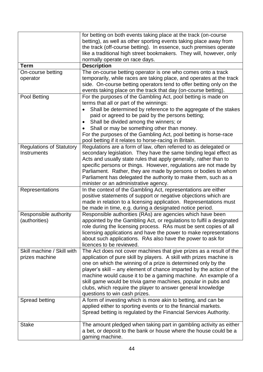|                                                | for betting on both events taking place at the track (on-course<br>betting), as well as other sporting events taking place away from<br>the track (off-course betting). In essence, such premises operate<br>like a traditional high street bookmakers. They will, however, only<br>normally operate on race days.                                                                                                                                                                                                      |
|------------------------------------------------|-------------------------------------------------------------------------------------------------------------------------------------------------------------------------------------------------------------------------------------------------------------------------------------------------------------------------------------------------------------------------------------------------------------------------------------------------------------------------------------------------------------------------|
| <b>Term</b>                                    | <b>Description</b>                                                                                                                                                                                                                                                                                                                                                                                                                                                                                                      |
| On-course betting<br>operator                  | The on-course betting operator is one who comes onto a track<br>temporarily, while races are taking place, and operates at the track<br>side. On-course betting operators tend to offer betting only on the<br>events taking place on the track that day (on-course betting).                                                                                                                                                                                                                                           |
| Pool Betting                                   | For the purposes of the Gambling Act, pool betting is made on<br>terms that all or part of the winnings:<br>Shall be determined by reference to the aggregate of the stakes<br>paid or agreed to be paid by the persons betting;<br>Shall be divided among the winners; or<br>٠<br>Shall or may be something other than money.<br>For the purposes of the Gambling Act, pool betting is horse-race<br>pool betting if it relates to horse-racing in Britain.                                                            |
| <b>Regulations of Statutory</b><br>Instruments | Regulations are a form of law, often referred to as delegated or<br>secondary legislation. They have the same binding legal effect as<br>Acts and usually state rules that apply generally, rather than to<br>specific persons or things. However, regulations are not made by<br>Parliament. Rather, they are made by persons or bodies to whom<br>Parliament has delegated the authority to make them, such as a<br>minister or an administrative agency.                                                             |
| Representations                                | In the context of the Gambling Act, representations are either<br>positive statements of support or negative objections which are<br>made in relation to a licensing application. Representations must<br>be made in time, e.g. during a designated notice period.                                                                                                                                                                                                                                                      |
| Responsible authority<br>(authorities)         | Responsible authorities (RAs) are agencies which have been<br>appointed by the Gambling Act, or regulations to fulfil a designated<br>role during the licensing process. RAs must be sent copies of all<br>licensing applications and have the power to make representations<br>about such applications. RAs also have the power to ask for<br>licences to be reviewed.                                                                                                                                                 |
| Skill machine / Skill with<br>prizes machine   | The Act does not cover machines that give prizes as a result of the<br>application of pure skill by players. A skill with prizes machine is<br>one on which the winning of a prize is determined only by the<br>player's skill – any element of chance imparted by the action of the<br>machine would cause it to be a gaming machine. An example of a<br>skill game would be trivia game machines, popular in pubs and<br>clubs, which require the player to answer general knowledge<br>questions to win cash prizes. |
| Spread betting                                 | A form of investing which is more akin to betting, and can be<br>applied either to sporting events or to the financial markets.<br>Spread betting is regulated by the Financial Services Authority.                                                                                                                                                                                                                                                                                                                     |
| <b>Stake</b>                                   | The amount pledged when taking part in gambling activity as either<br>a bet, or deposit to the bank or house where the house could be a<br>gaming machine.                                                                                                                                                                                                                                                                                                                                                              |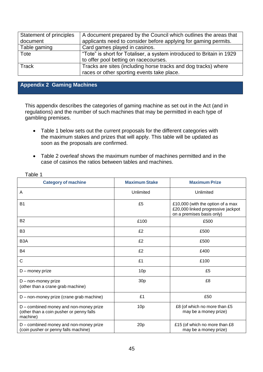| Statement of principles | A document prepared by the Council which outlines the areas that      |
|-------------------------|-----------------------------------------------------------------------|
| document                | applicants need to consider before applying for gaming permits.       |
| Table gaming            | Card games played in casinos.                                         |
| Tote                    | "Tote" is short for Totaliser, a system introduced to Britain in 1929 |
|                         | to offer pool betting on racecourses.                                 |
| Track                   | Tracks are sites (including horse tracks and dog tracks) where        |
|                         | races or other sporting events take place.                            |

## <span id="page-44-0"></span>**Appendix 2 Gaming Machines**

This appendix describes the categories of gaming machine as set out in the Act (and in regulations) and the number of such machines that may be permitted in each type of gambling premises.

- Table 1 below sets out the current proposals for the different categories with the maximum stakes and prizes that will apply. This table will be updated as soon as the proposals are confirmed.
- Table 2 overleaf shows the maximum number of machines permitted and in the case of casinos the ratios between tables and machines.

| <b>Category of machine</b>                                                                     | <b>Maximum Stake</b> | <b>Maximum Prize</b>                                                                                 |
|------------------------------------------------------------------------------------------------|----------------------|------------------------------------------------------------------------------------------------------|
| Α                                                                                              | Unlimited            | Unlimited                                                                                            |
| <b>B1</b>                                                                                      | £5                   | £10,000 (with the option of a max<br>£20,000 linked progressive jackpot<br>on a premises basis only) |
| <b>B2</b>                                                                                      | £100                 | £500                                                                                                 |
| B <sub>3</sub>                                                                                 | £2                   | £500                                                                                                 |
| B <sub>3</sub> A                                                                               | £2                   | £500                                                                                                 |
| <b>B4</b>                                                                                      | £2                   | £400                                                                                                 |
| C                                                                                              | £1                   | £100                                                                                                 |
| $D$ – money prize                                                                              | 10 <sub>p</sub>      | £5                                                                                                   |
| D - non-money prize<br>(other than a crane grab machine)                                       | 30 <sub>p</sub>      | £8                                                                                                   |
| D - non-money prize (crane grab machine)                                                       | £1                   | £50                                                                                                  |
| D – combined money and non-money prize<br>(other than a coin pusher or penny falls<br>machine) | 10 <sub>p</sub>      | £8 (of which no more than £5<br>may be a money prize)                                                |
| D – combined money and non-money prize<br>(coin pusher or penny falls machine)                 | 20p                  | £15 (of which no more than £8<br>may be a money prize)                                               |

Table 1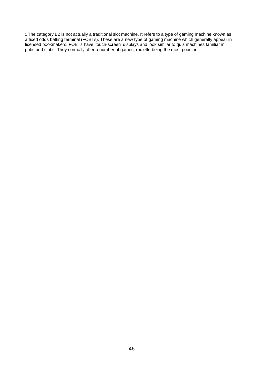<sup>1</sup> The category B2 is not actually a traditional slot machine. It refers to a type of gaming machine known as a fixed odds betting terminal (FOBTs). These are a new type of gaming machine which generally appear in licensed bookmakers. FOBTs have 'touch-screen' displays and look similar to quiz machines familiar in pubs and clubs. They normally offer a number of games, roulette being the most popular.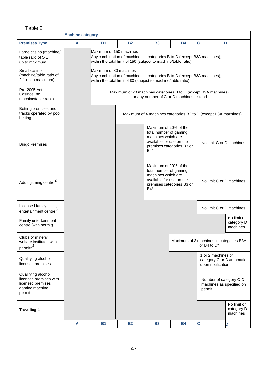## Table 2

|                                                                                               | <b>Machine category</b> |                                                                                                                                                                      |                                                                                                                                          |                                                                                                            |                           |                                                                      |                                       |
|-----------------------------------------------------------------------------------------------|-------------------------|----------------------------------------------------------------------------------------------------------------------------------------------------------------------|------------------------------------------------------------------------------------------------------------------------------------------|------------------------------------------------------------------------------------------------------------|---------------------------|----------------------------------------------------------------------|---------------------------------------|
| <b>Premises Type</b>                                                                          | A                       | <b>B1</b>                                                                                                                                                            | <b>B2</b>                                                                                                                                | <b>B3</b>                                                                                                  | <b>B4</b>                 | <b>C</b>                                                             | D                                     |
| Large casino (machine/<br>table ratio of 5-1<br>up to maximum)                                |                         | Maximum of 150 machines<br>Any combination of machines in categories B to D (except B3A machines),<br>within the total limit of 150 (subject to machine/table ratio) |                                                                                                                                          |                                                                                                            |                           |                                                                      |                                       |
| Small casino<br>(machine/table ratio of<br>2-1 up to maximum)                                 |                         | Maximum of 80 machines                                                                                                                                               | Any combination of machines in categories B to D (except B3A machines),<br>within the total limit of 80 (subject to machine/table ratio) |                                                                                                            |                           |                                                                      |                                       |
| Pre-2005 Act<br>Casinos (no<br>machine/table ratio)                                           |                         | Maximum of 20 machines categories B to D (except B3A machines),<br>or any number of C or D machines instead                                                          |                                                                                                                                          |                                                                                                            |                           |                                                                      |                                       |
| Betting premises and<br>tracks operated by pool<br>betting                                    |                         |                                                                                                                                                                      |                                                                                                                                          |                                                                                                            |                           | Maximum of 4 machines categories B2 to D (except B3A machines)       |                                       |
| Bingo Premises <sup>1</sup>                                                                   |                         |                                                                                                                                                                      |                                                                                                                                          | Maximum of 20% of the<br>total number of gaming<br>machines which are<br>available for use on the<br>$B4*$ | premises categories B3 or | No limit C or D machines                                             |                                       |
| Adult gaming centre <sup>2</sup>                                                              |                         |                                                                                                                                                                      |                                                                                                                                          | Maximum of 20% of the<br>total number of gaming<br>machines which are<br>available for use on the<br>B4*   | premises categories B3 or | No limit C or D machines                                             |                                       |
| Licensed family<br>entertainment centre <sup>3</sup>                                          |                         |                                                                                                                                                                      |                                                                                                                                          |                                                                                                            |                           | No limit C or D machines                                             |                                       |
| Family entertainment<br>centre (with permit)                                                  |                         |                                                                                                                                                                      |                                                                                                                                          |                                                                                                            |                           |                                                                      | No limit on<br>category D<br>machines |
| Clubs or miners'<br>welfare institutes with<br>permits <sup>4</sup>                           |                         |                                                                                                                                                                      |                                                                                                                                          |                                                                                                            |                           | Maximum of 3 machines in categories B3A<br>or B4 to $D^*$            |                                       |
| Qualifying alcohol<br>licensed premises                                                       |                         |                                                                                                                                                                      |                                                                                                                                          |                                                                                                            |                           | 1 or 2 machines of<br>category C or D automatic<br>upon notification |                                       |
| Qualifying alcohol<br>licensed premises with<br>licensed premises<br>gaming machine<br>permit |                         |                                                                                                                                                                      |                                                                                                                                          |                                                                                                            |                           | Number of category C-D<br>machines as specified on<br>permit         |                                       |
| Travelling fair                                                                               |                         |                                                                                                                                                                      |                                                                                                                                          |                                                                                                            |                           |                                                                      | No limit on<br>category D<br>machines |
|                                                                                               | A                       | <b>B1</b>                                                                                                                                                            | <b>B2</b>                                                                                                                                | <b>B3</b>                                                                                                  | <b>B4</b>                 | C                                                                    | D                                     |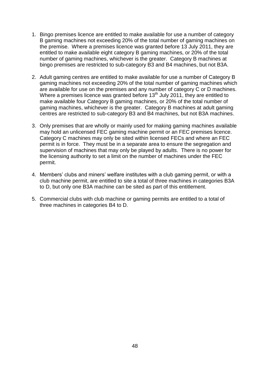- 1. Bingo premises licence are entitled to make available for use a number of category B gaming machines not exceeding 20% of the total number of gaming machines on the premise. Where a premises licence was granted before 13 July 2011, they are entitled to make available eight category B gaming machines, or 20% of the total number of gaming machines, whichever is the greater. Category B machines at bingo premises are restricted to sub-category B3 and B4 machines, but not B3A.
- 2. Adult gaming centres are entitled to make available for use a number of Category B gaming machines not exceeding 20% of the total number of gaming machines which are available for use on the premises and any number of category C or D machines. Where a premises licence was granted before 13<sup>th</sup> July 2011, they are entitled to make available four Category B gaming machines, or 20% of the total number of gaming machines, whichever is the greater. Category B machines at adult gaming centres are restricted to sub-category B3 and B4 machines, but not B3A machines.
- 3. Only premises that are wholly or mainly used for making gaming machines available may hold an unlicensed FEC gaming machine permit or an FEC premises licence. Category C machines may only be sited within licensed FECs and where an FEC permit is in force. They must be in a separate area to ensure the segregation and supervision of machines that may only be played by adults. There is no power for the licensing authority to set a limit on the number of machines under the FEC permit.
- 4. Members' clubs and miners' welfare institutes with a club gaming permit, or with a club machine permit, are entitled to site a total of three machines in categories B3A to D, but only one B3A machine can be sited as part of this entitlement.
- 5. Commercial clubs with club machine or gaming permits are entitled to a total of three machines in categories B4 to D.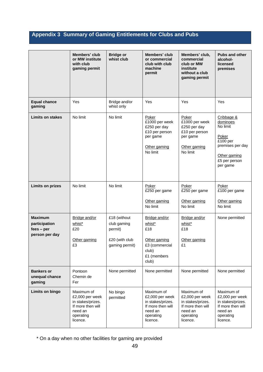## <span id="page-48-0"></span>**Appendix 3 Summary of Gaming Entitlements for Clubs and Pubs**

|                                                                   | Members' club<br>or MW institute<br>with club<br>gaming permit                                              | <b>Bridge or</b><br>whist club                                             | Members' club<br>or commercial<br>club with club<br>machine<br>permit                                       | Members' club,<br>commercial<br>club or MW<br>institute<br>without a club<br>gaming permit                  | <b>Pubs and other</b><br>alcohol-<br>licensed<br>premises                                                                |
|-------------------------------------------------------------------|-------------------------------------------------------------------------------------------------------------|----------------------------------------------------------------------------|-------------------------------------------------------------------------------------------------------------|-------------------------------------------------------------------------------------------------------------|--------------------------------------------------------------------------------------------------------------------------|
| <b>Equal chance</b><br>gaming                                     | Yes                                                                                                         | Bridge and/or<br>whist only                                                | Yes                                                                                                         | Yes                                                                                                         | Yes                                                                                                                      |
| <b>Limits on stakes</b>                                           | No limit                                                                                                    | No limit                                                                   | Poker<br>£1000 per week<br>£250 per day<br>£10 per person<br>per game<br>Other gaming<br>No limit           | Poker<br>£1000 per week<br>£250 per day<br>£10 per person<br>per game<br>Other gaming<br>No limit           | Cribbage &<br>dominoes<br>No limit<br>Poker<br>£100 per<br>premises per day<br>Other gaming<br>£5 per person<br>per game |
| <b>Limits on prizes</b>                                           | No limit                                                                                                    | No limit                                                                   | Poker<br>£250 per game<br>Other gaming<br>No limit                                                          | Poker<br>£250 per game<br>Other gaming<br>No limit                                                          | Poker<br>£100 per game<br>Other gaming<br>No limit                                                                       |
| <b>Maximum</b><br>participation<br>$fees - per$<br>person per day | Bridge and/or<br>whist*<br>£20<br>Other gaming<br>£3                                                        | £18 (without<br>club gaming<br>permit)<br>£20 (with club<br>gaming permit) | Bridge and/or<br>whist*<br>£18<br>Other gaming<br>£3 (commercial<br>club)<br>£1 (members<br>club)           | Bridge and/or<br>whist*<br>£18<br>Other gaming<br>£1                                                        | None permitted                                                                                                           |
| <b>Bankers or</b><br>unequal chance<br>gaming                     | Pontoon<br>Chemin de<br>Fer                                                                                 | None permitted                                                             | None permitted                                                                                              | None permitted                                                                                              | None permitted                                                                                                           |
| Limits on bingo                                                   | Maximum of<br>£2,000 per week<br>in stakes/prizes.<br>If more then will<br>need an<br>operating<br>licence. | No bingo<br>permitted                                                      | Maximum of<br>£2,000 per week<br>in stakes/prizes.<br>If more then will<br>need an<br>operating<br>licence. | Maximum of<br>£2,000 per week<br>in stakes/prizes.<br>If more then will<br>need an<br>operating<br>licence. | Maximum of<br>£2,000 per week<br>in stakes/prizes.<br>If more then will<br>need an<br>operating<br>licence.              |

\* On a day when no other facilities for gaming are provided